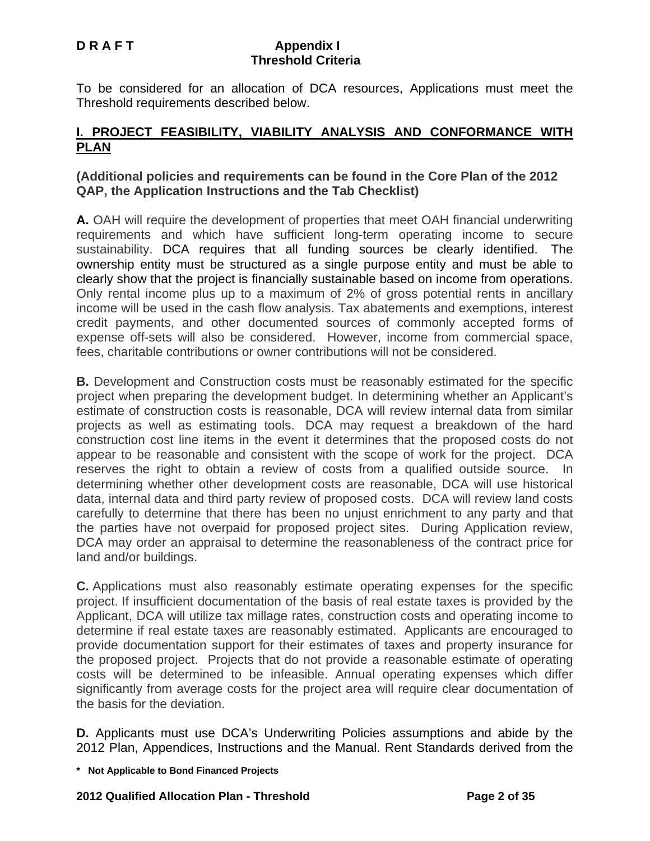To be considered for an allocation of DCA resources, Applications must meet the Threshold requirements described below.

## **I. PROJECT FEASIBILITY, VIABILITY ANALYSIS AND CONFORMANCE WITH PLAN**

## **(Additional policies and requirements can be found in the Core Plan of the 2012 QAP, the Application Instructions and the Tab Checklist)**

**A.** OAH will require the development of properties that meet OAH financial underwriting requirements and which have sufficient long-term operating income to secure sustainability. DCA requires that all funding sources be clearly identified. The ownership entity must be structured as a single purpose entity and must be able to clearly show that the project is financially sustainable based on income from operations. Only rental income plus up to a maximum of 2% of gross potential rents in ancillary income will be used in the cash flow analysis. Tax abatements and exemptions, interest credit payments, and other documented sources of commonly accepted forms of expense off-sets will also be considered. However, income from commercial space, fees, charitable contributions or owner contributions will not be considered.

**B.** Development and Construction costs must be reasonably estimated for the specific project when preparing the development budget. In determining whether an Applicant's estimate of construction costs is reasonable, DCA will review internal data from similar projects as well as estimating tools. DCA may request a breakdown of the hard construction cost line items in the event it determines that the proposed costs do not appear to be reasonable and consistent with the scope of work for the project. DCA reserves the right to obtain a review of costs from a qualified outside source. In determining whether other development costs are reasonable, DCA will use historical data, internal data and third party review of proposed costs. DCA will review land costs carefully to determine that there has been no unjust enrichment to any party and that the parties have not overpaid for proposed project sites. During Application review, DCA may order an appraisal to determine the reasonableness of the contract price for land and/or buildings.

**C.** Applications must also reasonably estimate operating expenses for the specific project. If insufficient documentation of the basis of real estate taxes is provided by the Applicant, DCA will utilize tax millage rates, construction costs and operating income to determine if real estate taxes are reasonably estimated. Applicants are encouraged to provide documentation support for their estimates of taxes and property insurance for the proposed project. Projects that do not provide a reasonable estimate of operating costs will be determined to be infeasible. Annual operating expenses which differ significantly from average costs for the project area will require clear documentation of the basis for the deviation.

**D.** Applicants must use DCA's Underwriting Policies assumptions and abide by the 2012 Plan, Appendices, Instructions and the Manual. Rent Standards derived from the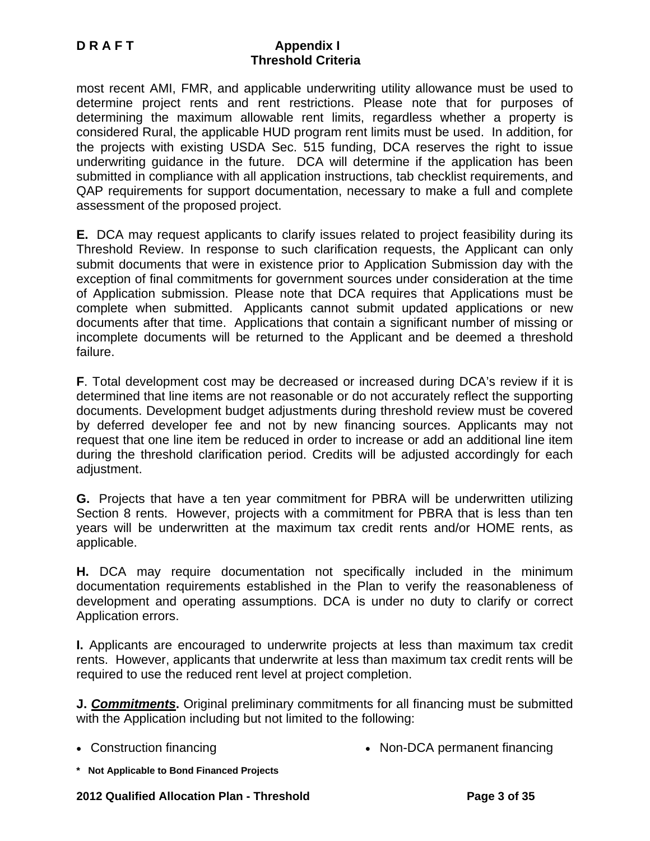most recent AMI, FMR, and applicable underwriting utility allowance must be used to determine project rents and rent restrictions. Please note that for purposes of determining the maximum allowable rent limits, regardless whether a property is considered Rural, the applicable HUD program rent limits must be used. In addition, for the projects with existing USDA Sec. 515 funding, DCA reserves the right to issue underwriting guidance in the future. DCA will determine if the application has been submitted in compliance with all application instructions, tab checklist requirements, and QAP requirements for support documentation, necessary to make a full and complete assessment of the proposed project.

**E.** DCA may request applicants to clarify issues related to project feasibility during its Threshold Review. In response to such clarification requests, the Applicant can only submit documents that were in existence prior to Application Submission day with the exception of final commitments for government sources under consideration at the time of Application submission. Please note that DCA requires that Applications must be complete when submitted. Applicants cannot submit updated applications or new documents after that time. Applications that contain a significant number of missing or incomplete documents will be returned to the Applicant and be deemed a threshold failure.

**F**. Total development cost may be decreased or increased during DCA's review if it is determined that line items are not reasonable or do not accurately reflect the supporting documents. Development budget adjustments during threshold review must be covered by deferred developer fee and not by new financing sources. Applicants may not request that one line item be reduced in order to increase or add an additional line item during the threshold clarification period. Credits will be adjusted accordingly for each adjustment.

**G.** Projects that have a ten year commitment for PBRA will be underwritten utilizing Section 8 rents. However, projects with a commitment for PBRA that is less than ten years will be underwritten at the maximum tax credit rents and/or HOME rents, as applicable.

**H.** DCA may require documentation not specifically included in the minimum documentation requirements established in the Plan to verify the reasonableness of development and operating assumptions. DCA is under no duty to clarify or correct Application errors.

**I.** Applicants are encouraged to underwrite projects at less than maximum tax credit rents. However, applicants that underwrite at less than maximum tax credit rents will be required to use the reduced rent level at project completion.

**J.** *Commitments***.** Original preliminary commitments for all financing must be submitted with the Application including but not limited to the following:

- 
- Construction financing Non-DCA permanent financing
- **\* Not Applicable to Bond Financed Projects**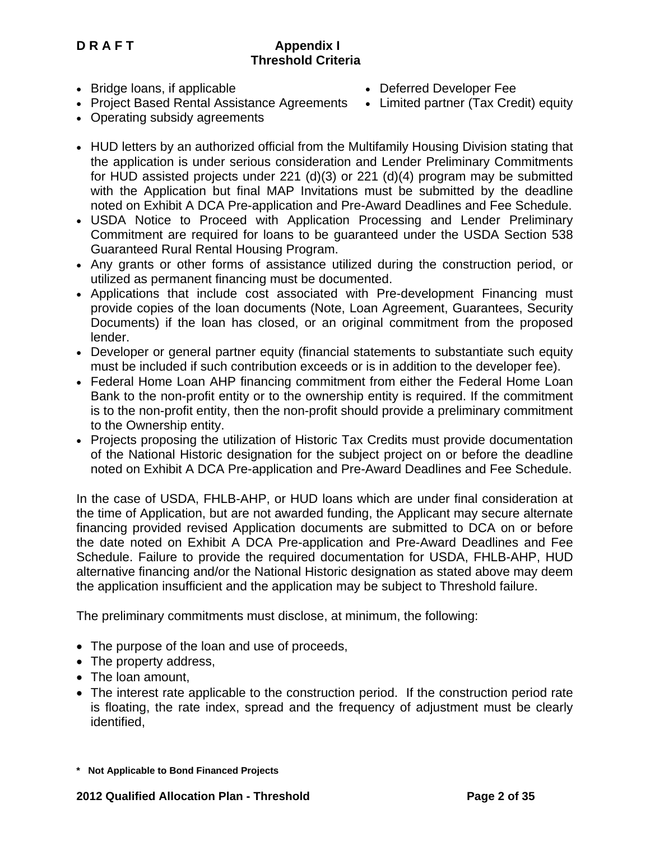• Bridge loans, if applicable

- Deferred Developer Fee
- Project Based Rental Assistance Agreements Limited partner (Tax Credit) equity
- Operating subsidy agreements
- HUD letters by an authorized official from the Multifamily Housing Division stating that the application is under serious consideration and Lender Preliminary Commitments for HUD assisted projects under 221 (d)(3) or 221 (d)(4) program may be submitted with the Application but final MAP Invitations must be submitted by the deadline noted on Exhibit A DCA Pre-application and Pre-Award Deadlines and Fee Schedule.
- USDA Notice to Proceed with Application Processing and Lender Preliminary Commitment are required for loans to be guaranteed under the USDA Section 538 Guaranteed Rural Rental Housing Program.
- Any grants or other forms of assistance utilized during the construction period, or utilized as permanent financing must be documented.
- Applications that include cost associated with Pre-development Financing must provide copies of the loan documents (Note, Loan Agreement, Guarantees, Security Documents) if the loan has closed, or an original commitment from the proposed lender.
- Developer or general partner equity (financial statements to substantiate such equity must be included if such contribution exceeds or is in addition to the developer fee).
- Federal Home Loan AHP financing commitment from either the Federal Home Loan Bank to the non-profit entity or to the ownership entity is required. If the commitment is to the non-profit entity, then the non-profit should provide a preliminary commitment to the Ownership entity.
- Projects proposing the utilization of Historic Tax Credits must provide documentation of the National Historic designation for the subject project on or before the deadline noted on Exhibit A DCA Pre-application and Pre-Award Deadlines and Fee Schedule.

In the case of USDA, FHLB-AHP, or HUD loans which are under final consideration at the time of Application, but are not awarded funding, the Applicant may secure alternate financing provided revised Application documents are submitted to DCA on or before the date noted on Exhibit A DCA Pre-application and Pre-Award Deadlines and Fee Schedule. Failure to provide the required documentation for USDA, FHLB-AHP, HUD alternative financing and/or the National Historic designation as stated above may deem the application insufficient and the application may be subject to Threshold failure.

The preliminary commitments must disclose, at minimum, the following:

- The purpose of the loan and use of proceeds,
- The property address,
- The loan amount,
- The interest rate applicable to the construction period. If the construction period rate is floating, the rate index, spread and the frequency of adjustment must be clearly identified,

**<sup>\*</sup> Not Applicable to Bond Financed Projects**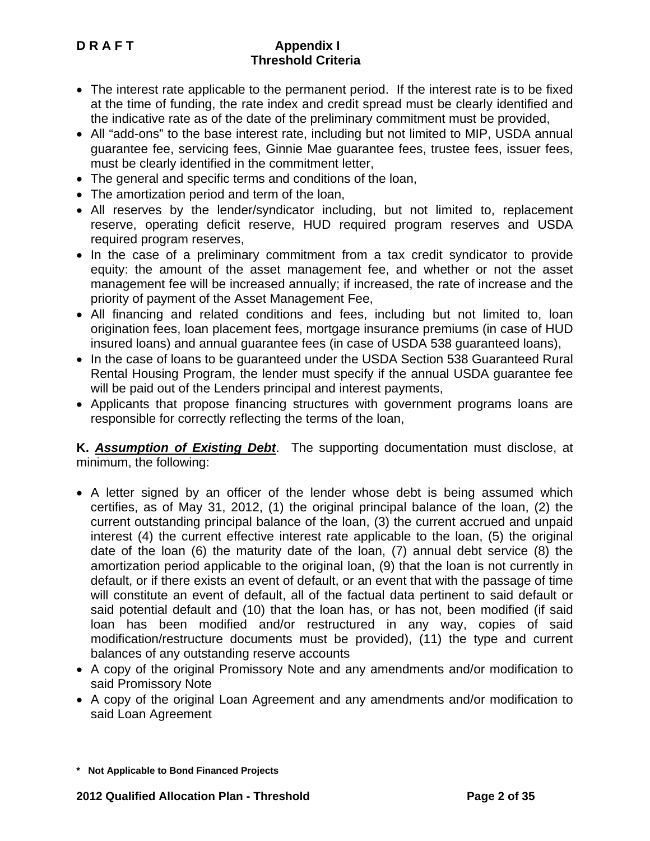- The interest rate applicable to the permanent period. If the interest rate is to be fixed at the time of funding, the rate index and credit spread must be clearly identified and the indicative rate as of the date of the preliminary commitment must be provided,
- All "add-ons" to the base interest rate, including but not limited to MIP, USDA annual guarantee fee, servicing fees, Ginnie Mae guarantee fees, trustee fees, issuer fees, must be clearly identified in the commitment letter,
- The general and specific terms and conditions of the loan,
- The amortization period and term of the loan,
- All reserves by the lender/syndicator including, but not limited to, replacement reserve, operating deficit reserve, HUD required program reserves and USDA required program reserves,
- In the case of a preliminary commitment from a tax credit syndicator to provide equity: the amount of the asset management fee, and whether or not the asset management fee will be increased annually; if increased, the rate of increase and the priority of payment of the Asset Management Fee,
- All financing and related conditions and fees, including but not limited to, loan origination fees, loan placement fees, mortgage insurance premiums (in case of HUD insured loans) and annual guarantee fees (in case of USDA 538 guaranteed loans),
- In the case of loans to be guaranteed under the USDA Section 538 Guaranteed Rural Rental Housing Program, the lender must specify if the annual USDA guarantee fee will be paid out of the Lenders principal and interest payments,
- Applicants that propose financing structures with government programs loans are responsible for correctly reflecting the terms of the loan,

**K.** *Assumption of Existing Debt*. The supporting documentation must disclose, at minimum, the following:

- A letter signed by an officer of the lender whose debt is being assumed which certifies, as of May 31, 2012, (1) the original principal balance of the loan, (2) the current outstanding principal balance of the loan, (3) the current accrued and unpaid interest (4) the current effective interest rate applicable to the loan, (5) the original date of the loan (6) the maturity date of the loan, (7) annual debt service (8) the amortization period applicable to the original loan, (9) that the loan is not currently in default, or if there exists an event of default, or an event that with the passage of time will constitute an event of default, all of the factual data pertinent to said default or said potential default and (10) that the loan has, or has not, been modified (if said loan has been modified and/or restructured in any way, copies of said modification/restructure documents must be provided), (11) the type and current balances of any outstanding reserve accounts
- A copy of the original Promissory Note and any amendments and/or modification to said Promissory Note
- A copy of the original Loan Agreement and any amendments and/or modification to said Loan Agreement

**<sup>\*</sup> Not Applicable to Bond Financed Projects**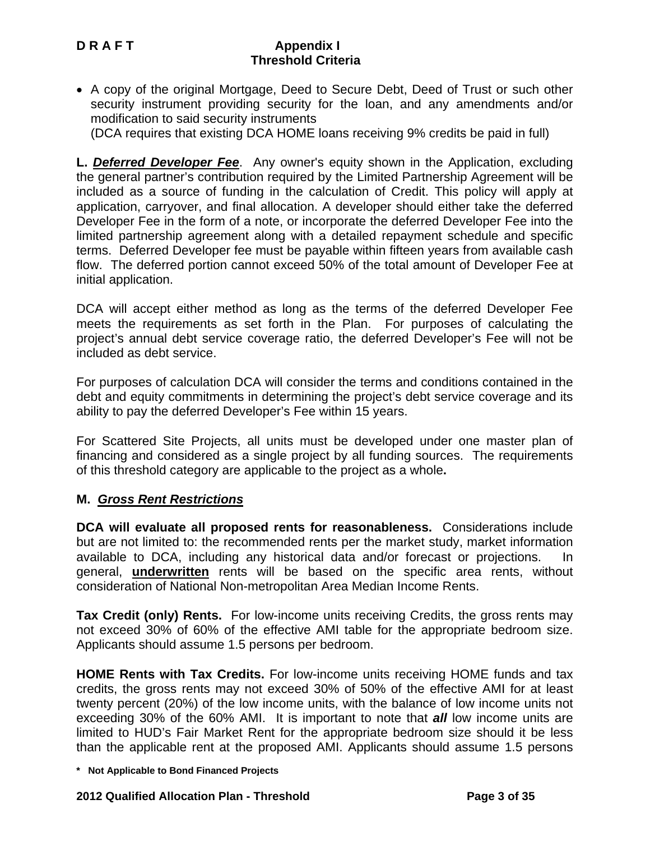• A copy of the original Mortgage, Deed to Secure Debt, Deed of Trust or such other security instrument providing security for the loan, and any amendments and/or modification to said security instruments

(DCA requires that existing DCA HOME loans receiving 9% credits be paid in full)

**L.** *Deferred Developer Fee*. Any owner's equity shown in the Application, excluding the general partner's contribution required by the Limited Partnership Agreement will be included as a source of funding in the calculation of Credit. This policy will apply at application, carryover, and final allocation. A developer should either take the deferred Developer Fee in the form of a note, or incorporate the deferred Developer Fee into the limited partnership agreement along with a detailed repayment schedule and specific terms. Deferred Developer fee must be payable within fifteen years from available cash flow. The deferred portion cannot exceed 50% of the total amount of Developer Fee at initial application.

DCA will accept either method as long as the terms of the deferred Developer Fee meets the requirements as set forth in the Plan. For purposes of calculating the project's annual debt service coverage ratio, the deferred Developer's Fee will not be included as debt service.

For purposes of calculation DCA will consider the terms and conditions contained in the debt and equity commitments in determining the project's debt service coverage and its ability to pay the deferred Developer's Fee within 15 years.

For Scattered Site Projects, all units must be developed under one master plan of financing and considered as a single project by all funding sources. The requirements of this threshold category are applicable to the project as a whole**.** 

## **M.** *Gross Rent Restrictions*

**DCA will evaluate all proposed rents for reasonableness.** Considerations include but are not limited to: the recommended rents per the market study, market information available to DCA, including any historical data and/or forecast or projections. In general, **underwritten** rents will be based on the specific area rents, without consideration of National Non-metropolitan Area Median Income Rents.

**Tax Credit (only) Rents.** For low-income units receiving Credits, the gross rents may not exceed 30% of 60% of the effective AMI table for the appropriate bedroom size. Applicants should assume 1.5 persons per bedroom.

**HOME Rents with Tax Credits.** For low-income units receiving HOME funds and tax credits, the gross rents may not exceed 30% of 50% of the effective AMI for at least twenty percent (20%) of the low income units, with the balance of low income units not exceeding 30% of the 60% AMI. It is important to note that *all* low income units are limited to HUD's Fair Market Rent for the appropriate bedroom size should it be less than the applicable rent at the proposed AMI. Applicants should assume 1.5 persons

**<sup>\*</sup> Not Applicable to Bond Financed Projects**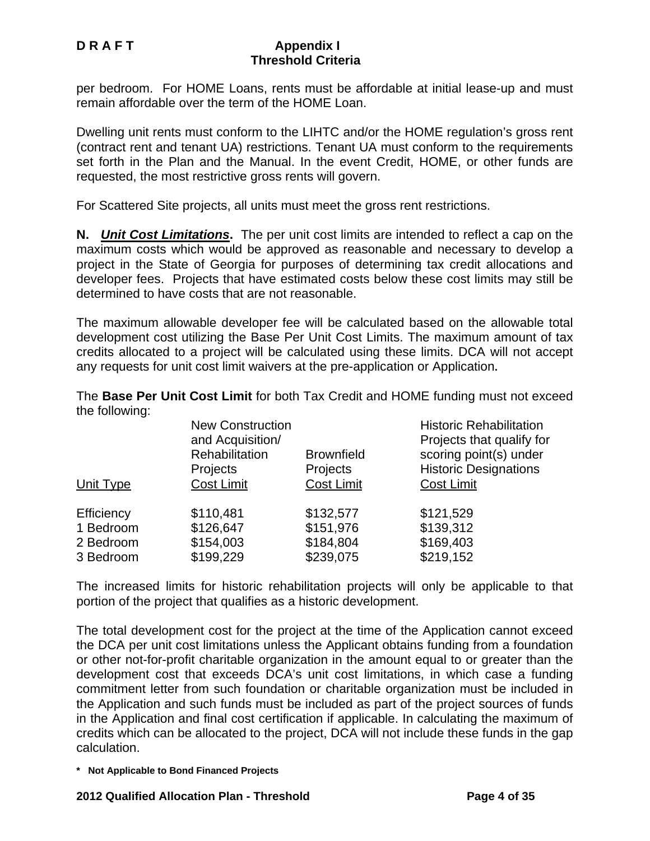per bedroom. For HOME Loans, rents must be affordable at initial lease-up and must remain affordable over the term of the HOME Loan.

Dwelling unit rents must conform to the LIHTC and/or the HOME regulation's gross rent (contract rent and tenant UA) restrictions. Tenant UA must conform to the requirements set forth in the Plan and the Manual. In the event Credit, HOME, or other funds are requested, the most restrictive gross rents will govern.

For Scattered Site projects, all units must meet the gross rent restrictions.

**N.** *Unit Cost Limitations***.** The per unit cost limits are intended to reflect a cap on the maximum costs which would be approved as reasonable and necessary to develop a project in the State of Georgia for purposes of determining tax credit allocations and developer fees. Projects that have estimated costs below these cost limits may still be determined to have costs that are not reasonable.

The maximum allowable developer fee will be calculated based on the allowable total development cost utilizing the Base Per Unit Cost Limits. The maximum amount of tax credits allocated to a project will be calculated using these limits. DCA will not accept any requests for unit cost limit waivers at the pre-application or Application**.** 

The **Base Per Unit Cost Limit** for both Tax Credit and HOME funding must not exceed the following:

|            | <b>New Construction</b><br>and Acquisition/<br>Rehabilitation<br>Projects | <b>Brownfield</b><br>Projects | <b>Historic Rehabilitation</b><br>Projects that qualify for<br>scoring point(s) under<br><b>Historic Designations</b> |
|------------|---------------------------------------------------------------------------|-------------------------------|-----------------------------------------------------------------------------------------------------------------------|
| Unit Type  | <b>Cost Limit</b>                                                         | <b>Cost Limit</b>             | <b>Cost Limit</b>                                                                                                     |
| Efficiency | \$110,481                                                                 | \$132,577                     | \$121,529                                                                                                             |
| 1 Bedroom  | \$126,647                                                                 | \$151,976                     | \$139,312                                                                                                             |
| 2 Bedroom  | \$154,003                                                                 | \$184,804                     | \$169,403                                                                                                             |
| 3 Bedroom  | \$199,229                                                                 | \$239,075                     | \$219,152                                                                                                             |

The increased limits for historic rehabilitation projects will only be applicable to that portion of the project that qualifies as a historic development.

The total development cost for the project at the time of the Application cannot exceed the DCA per unit cost limitations unless the Applicant obtains funding from a foundation or other not-for-profit charitable organization in the amount equal to or greater than the development cost that exceeds DCA's unit cost limitations, in which case a funding commitment letter from such foundation or charitable organization must be included in the Application and such funds must be included as part of the project sources of funds in the Application and final cost certification if applicable. In calculating the maximum of credits which can be allocated to the project, DCA will not include these funds in the gap calculation.

**<sup>\*</sup> Not Applicable to Bond Financed Projects**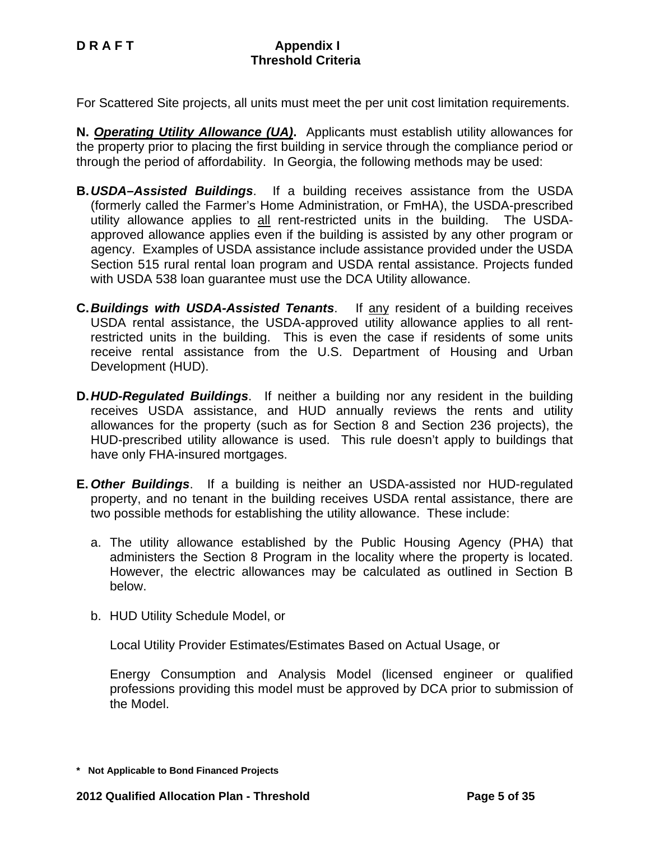For Scattered Site projects, all units must meet the per unit cost limitation requirements.

**N.** *Operating Utility Allowance (UA)***.** Applicants must establish utility allowances for the property prior to placing the first building in service through the compliance period or through the period of affordability. In Georgia, the following methods may be used:

- **B.** *USDA–Assisted Buildings*. If a building receives assistance from the USDA (formerly called the Farmer's Home Administration, or FmHA), the USDA-prescribed utility allowance applies to all rent-restricted units in the building. The USDAapproved allowance applies even if the building is assisted by any other program or agency. Examples of USDA assistance include assistance provided under the USDA Section 515 rural rental loan program and USDA rental assistance. Projects funded with USDA 538 loan guarantee must use the DCA Utility allowance.
- **C.** *Buildings with USDA-Assisted Tenants*. If any resident of a building receives USDA rental assistance, the USDA-approved utility allowance applies to all rentrestricted units in the building. This is even the case if residents of some units receive rental assistance from the U.S. Department of Housing and Urban Development (HUD).
- **D. HUD-Regulated Buildings.** If neither a building nor any resident in the building receives USDA assistance, and HUD annually reviews the rents and utility allowances for the property (such as for Section 8 and Section 236 projects), the HUD-prescribed utility allowance is used. This rule doesn't apply to buildings that have only FHA-insured mortgages.
- **E.** *Other Buildings*. If a building is neither an USDA-assisted nor HUD-regulated property, and no tenant in the building receives USDA rental assistance, there are two possible methods for establishing the utility allowance. These include:
	- a. The utility allowance established by the Public Housing Agency (PHA) that administers the Section 8 Program in the locality where the property is located. However, the electric allowances may be calculated as outlined in Section B below.
	- b. HUD Utility Schedule Model, or

Local Utility Provider Estimates/Estimates Based on Actual Usage, or

 Energy Consumption and Analysis Model (licensed engineer or qualified professions providing this model must be approved by DCA prior to submission of the Model.

**<sup>\*</sup> Not Applicable to Bond Financed Projects**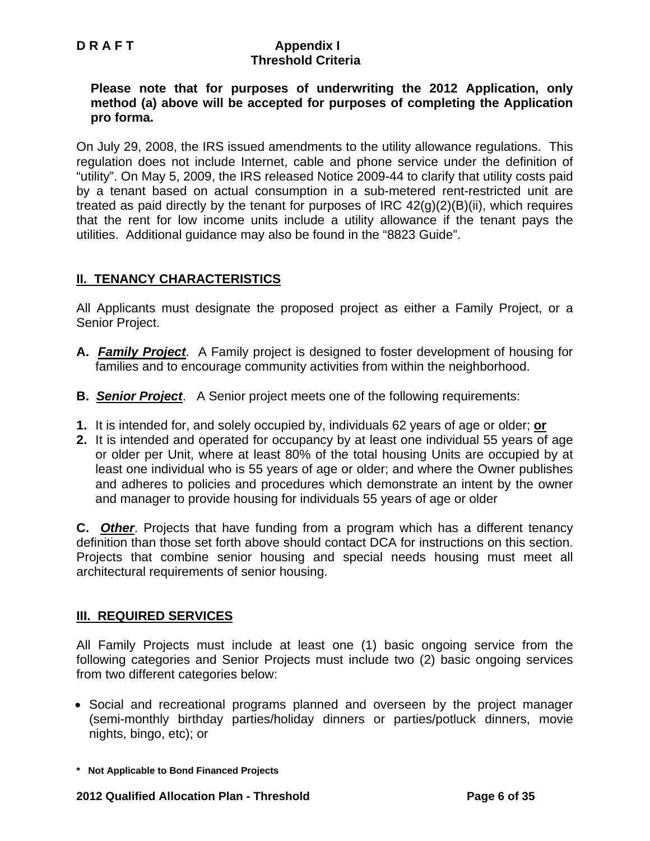**Please note that for purposes of underwriting the 2012 Application, only method (a) above will be accepted for purposes of completing the Application pro forma.** 

On July 29, 2008, the IRS issued amendments to the utility allowance regulations. This regulation does not include Internet, cable and phone service under the definition of "utility". On May 5, 2009, the IRS released Notice 2009-44 to clarify that utility costs paid by a tenant based on actual consumption in a sub-metered rent-restricted unit are treated as paid directly by the tenant for purposes of IRC  $42(g)(2)(B)(ii)$ , which requires that the rent for low income units include a utility allowance if the tenant pays the utilities. Additional guidance may also be found in the "8823 Guide".

## **II. TENANCY CHARACTERISTICS**

All Applicants must designate the proposed project as either a Family Project, or a Senior Project.

- **A.** *Family Project*. A Family project is designed to foster development of housing for families and to encourage community activities from within the neighborhood.
- **B.** *Senior Project*. A Senior project meets one of the following requirements:
- **1.** It is intended for, and solely occupied by, individuals 62 years of age or older; **or**
- **2.** It is intended and operated for occupancy by at least one individual 55 years of age or older per Unit, where at least 80% of the total housing Units are occupied by at least one individual who is 55 years of age or older; and where the Owner publishes and adheres to policies and procedures which demonstrate an intent by the owner and manager to provide housing for individuals 55 years of age or older

**C.** *Other*. Projects that have funding from a program which has a different tenancy definition than those set forth above should contact DCA for instructions on this section. Projects that combine senior housing and special needs housing must meet all architectural requirements of senior housing.

## **III. REQUIRED SERVICES**

All Family Projects must include at least one (1) basic ongoing service from the following categories and Senior Projects must include two (2) basic ongoing services from two different categories below:

- Social and recreational programs planned and overseen by the project manager (semi-monthly birthday parties/holiday dinners or parties/potluck dinners, movie nights, bingo, etc); or
- **\* Not Applicable to Bond Financed Projects**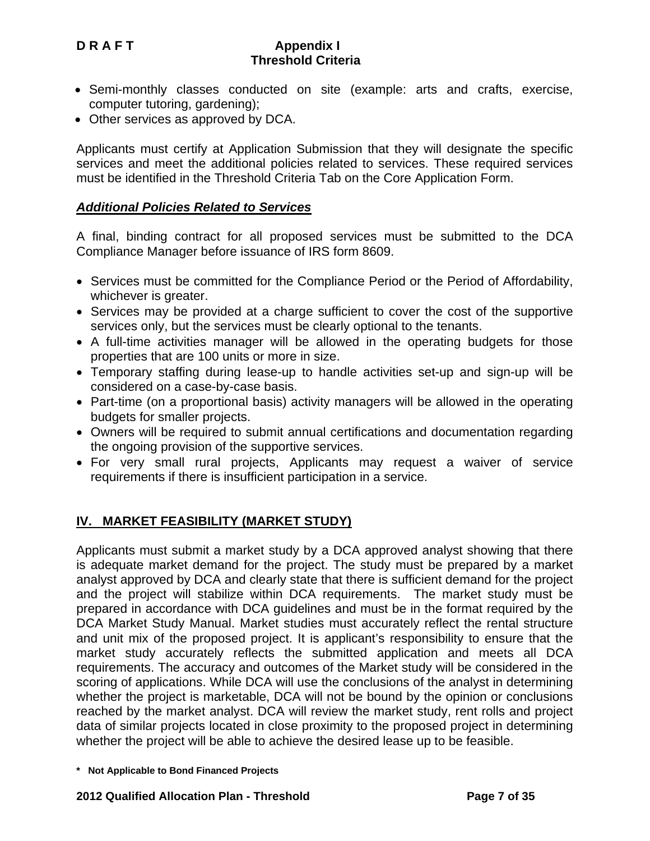- Semi-monthly classes conducted on site (example: arts and crafts, exercise, computer tutoring, gardening);
- Other services as approved by DCA.

Applicants must certify at Application Submission that they will designate the specific services and meet the additional policies related to services. These required services must be identified in the Threshold Criteria Tab on the Core Application Form.

## *Additional Policies Related to Services*

A final, binding contract for all proposed services must be submitted to the DCA Compliance Manager before issuance of IRS form 8609.

- Services must be committed for the Compliance Period or the Period of Affordability, whichever is greater.
- Services may be provided at a charge sufficient to cover the cost of the supportive services only, but the services must be clearly optional to the tenants.
- A full-time activities manager will be allowed in the operating budgets for those properties that are 100 units or more in size.
- Temporary staffing during lease-up to handle activities set-up and sign-up will be considered on a case-by-case basis.
- Part-time (on a proportional basis) activity managers will be allowed in the operating budgets for smaller projects.
- Owners will be required to submit annual certifications and documentation regarding the ongoing provision of the supportive services.
- For very small rural projects, Applicants may request a waiver of service requirements if there is insufficient participation in a service.

# **IV. MARKET FEASIBILITY (MARKET STUDY)**

Applicants must submit a market study by a DCA approved analyst showing that there is adequate market demand for the project. The study must be prepared by a market analyst approved by DCA and clearly state that there is sufficient demand for the project and the project will stabilize within DCA requirements. The market study must be prepared in accordance with DCA guidelines and must be in the format required by the DCA Market Study Manual. Market studies must accurately reflect the rental structure and unit mix of the proposed project. It is applicant's responsibility to ensure that the market study accurately reflects the submitted application and meets all DCA requirements. The accuracy and outcomes of the Market study will be considered in the scoring of applications. While DCA will use the conclusions of the analyst in determining whether the project is marketable, DCA will not be bound by the opinion or conclusions reached by the market analyst. DCA will review the market study, rent rolls and project data of similar projects located in close proximity to the proposed project in determining whether the project will be able to achieve the desired lease up to be feasible.

**<sup>\*</sup> Not Applicable to Bond Financed Projects**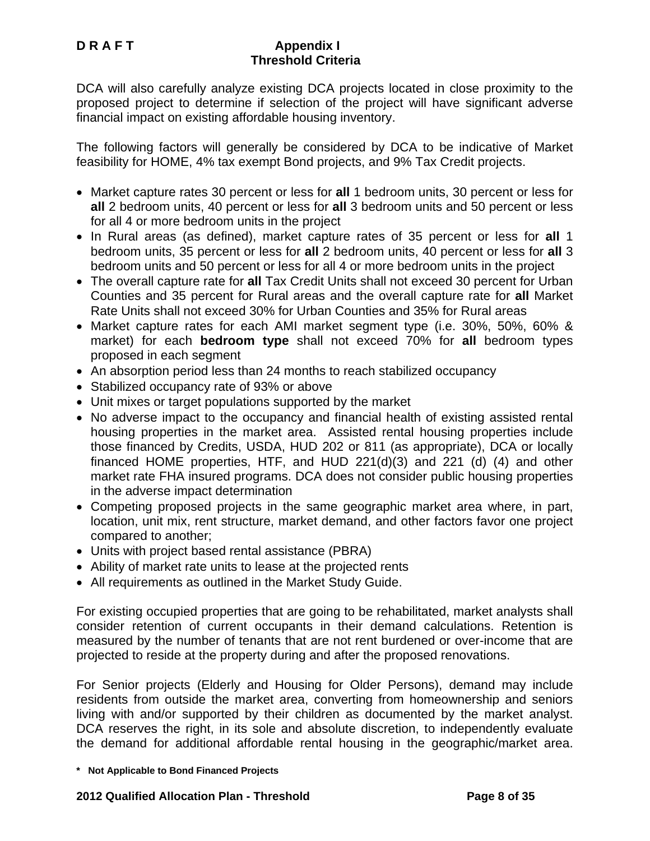DCA will also carefully analyze existing DCA projects located in close proximity to the proposed project to determine if selection of the project will have significant adverse financial impact on existing affordable housing inventory.

The following factors will generally be considered by DCA to be indicative of Market feasibility for HOME, 4% tax exempt Bond projects, and 9% Tax Credit projects.

- Market capture rates 30 percent or less for **all** 1 bedroom units, 30 percent or less for **all** 2 bedroom units, 40 percent or less for **all** 3 bedroom units and 50 percent or less for all 4 or more bedroom units in the project
- In Rural areas (as defined), market capture rates of 35 percent or less for **all** 1 bedroom units, 35 percent or less for **all** 2 bedroom units, 40 percent or less for **all** 3 bedroom units and 50 percent or less for all 4 or more bedroom units in the project
- The overall capture rate for **all** Tax Credit Units shall not exceed 30 percent for Urban Counties and 35 percent for Rural areas and the overall capture rate for **all** Market Rate Units shall not exceed 30% for Urban Counties and 35% for Rural areas
- Market capture rates for each AMI market segment type (i.e. 30%, 50%, 60% & market) for each **bedroom type** shall not exceed 70% for **all** bedroom types proposed in each segment
- An absorption period less than 24 months to reach stabilized occupancy
- Stabilized occupancy rate of 93% or above
- Unit mixes or target populations supported by the market
- No adverse impact to the occupancy and financial health of existing assisted rental housing properties in the market area. Assisted rental housing properties include those financed by Credits, USDA, HUD 202 or 811 (as appropriate), DCA or locally financed HOME properties, HTF, and HUD 221(d)(3) and 221 (d) (4) and other market rate FHA insured programs. DCA does not consider public housing properties in the adverse impact determination
- Competing proposed projects in the same geographic market area where, in part, location, unit mix, rent structure, market demand, and other factors favor one project compared to another;
- Units with project based rental assistance (PBRA)
- Ability of market rate units to lease at the projected rents
- All requirements as outlined in the Market Study Guide.

For existing occupied properties that are going to be rehabilitated, market analysts shall consider retention of current occupants in their demand calculations. Retention is measured by the number of tenants that are not rent burdened or over-income that are projected to reside at the property during and after the proposed renovations.

For Senior projects (Elderly and Housing for Older Persons), demand may include residents from outside the market area, converting from homeownership and seniors living with and/or supported by their children as documented by the market analyst. DCA reserves the right, in its sole and absolute discretion, to independently evaluate the demand for additional affordable rental housing in the geographic/market area.

**<sup>\*</sup> Not Applicable to Bond Financed Projects**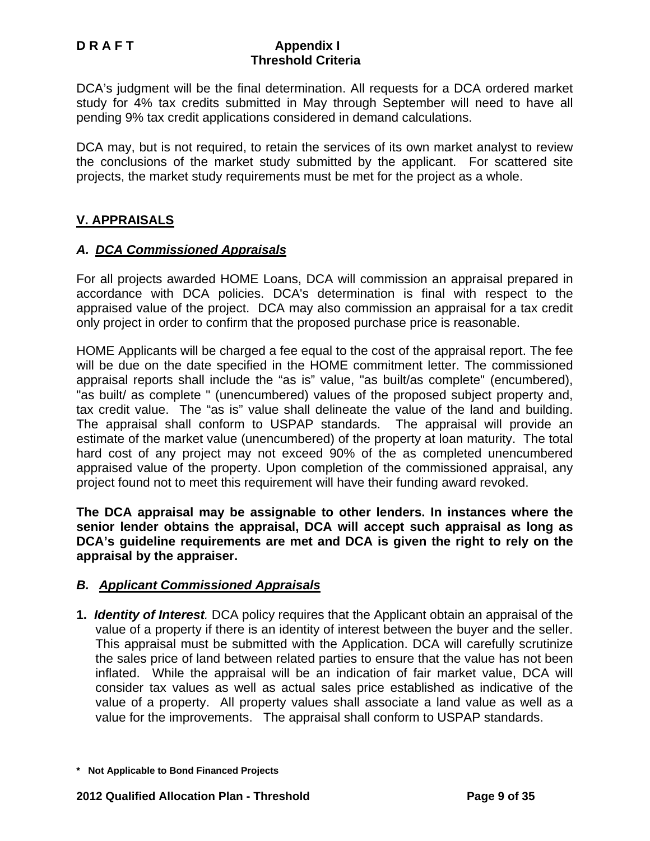DCA's judgment will be the final determination. All requests for a DCA ordered market study for 4% tax credits submitted in May through September will need to have all pending 9% tax credit applications considered in demand calculations.

DCA may, but is not required, to retain the services of its own market analyst to review the conclusions of the market study submitted by the applicant. For scattered site projects, the market study requirements must be met for the project as a whole.

## **V. APPRAISALS**

## *A. DCA Commissioned Appraisals*

For all projects awarded HOME Loans, DCA will commission an appraisal prepared in accordance with DCA policies. DCA's determination is final with respect to the appraised value of the project. DCA may also commission an appraisal for a tax credit only project in order to confirm that the proposed purchase price is reasonable.

HOME Applicants will be charged a fee equal to the cost of the appraisal report. The fee will be due on the date specified in the HOME commitment letter. The commissioned appraisal reports shall include the "as is" value, "as built/as complete" (encumbered), "as built/ as complete " (unencumbered) values of the proposed subject property and, tax credit value. The "as is" value shall delineate the value of the land and building. The appraisal shall conform to USPAP standards. The appraisal will provide an estimate of the market value (unencumbered) of the property at loan maturity. The total hard cost of any project may not exceed 90% of the as completed unencumbered appraised value of the property. Upon completion of the commissioned appraisal, any project found not to meet this requirement will have their funding award revoked.

**The DCA appraisal may be assignable to other lenders. In instances where the senior lender obtains the appraisal, DCA will accept such appraisal as long as DCA's guideline requirements are met and DCA is given the right to rely on the appraisal by the appraiser.** 

## *B. Applicant Commissioned Appraisals*

**1.** *Identity of Interest.* DCA policy requires that the Applicant obtain an appraisal of the value of a property if there is an identity of interest between the buyer and the seller. This appraisal must be submitted with the Application. DCA will carefully scrutinize the sales price of land between related parties to ensure that the value has not been inflated. While the appraisal will be an indication of fair market value, DCA will consider tax values as well as actual sales price established as indicative of the value of a property. All property values shall associate a land value as well as a value for the improvements. The appraisal shall conform to USPAP standards.

**<sup>\*</sup> Not Applicable to Bond Financed Projects**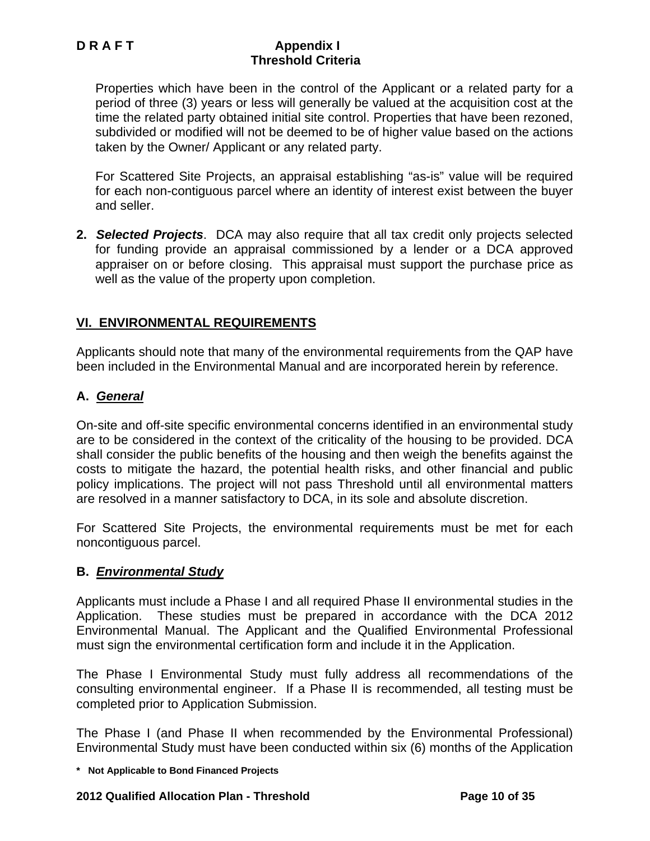Properties which have been in the control of the Applicant or a related party for a period of three (3) years or less will generally be valued at the acquisition cost at the time the related party obtained initial site control. Properties that have been rezoned, subdivided or modified will not be deemed to be of higher value based on the actions taken by the Owner/ Applicant or any related party.

For Scattered Site Projects, an appraisal establishing "as-is" value will be required for each non-contiguous parcel where an identity of interest exist between the buyer and seller.

**2.** *Selected Projects*. DCA may also require that all tax credit only projects selected for funding provide an appraisal commissioned by a lender or a DCA approved appraiser on or before closing. This appraisal must support the purchase price as well as the value of the property upon completion.

# **VI. ENVIRONMENTAL REQUIREMENTS**

Applicants should note that many of the environmental requirements from the QAP have been included in the Environmental Manual and are incorporated herein by reference.

## **A.** *General*

On-site and off-site specific environmental concerns identified in an environmental study are to be considered in the context of the criticality of the housing to be provided. DCA shall consider the public benefits of the housing and then weigh the benefits against the costs to mitigate the hazard, the potential health risks, and other financial and public policy implications. The project will not pass Threshold until all environmental matters are resolved in a manner satisfactory to DCA, in its sole and absolute discretion.

For Scattered Site Projects, the environmental requirements must be met for each noncontiguous parcel.

## **B.** *Environmental Study*

Applicants must include a Phase I and all required Phase II environmental studies in the Application. These studies must be prepared in accordance with the DCA 2012 Environmental Manual. The Applicant and the Qualified Environmental Professional must sign the environmental certification form and include it in the Application.

The Phase I Environmental Study must fully address all recommendations of the consulting environmental engineer. If a Phase II is recommended, all testing must be completed prior to Application Submission.

The Phase I (and Phase II when recommended by the Environmental Professional) Environmental Study must have been conducted within six (6) months of the Application

**\* Not Applicable to Bond Financed Projects** 

#### **2012 Qualified Allocation Plan - Threshold Page 10 of 35**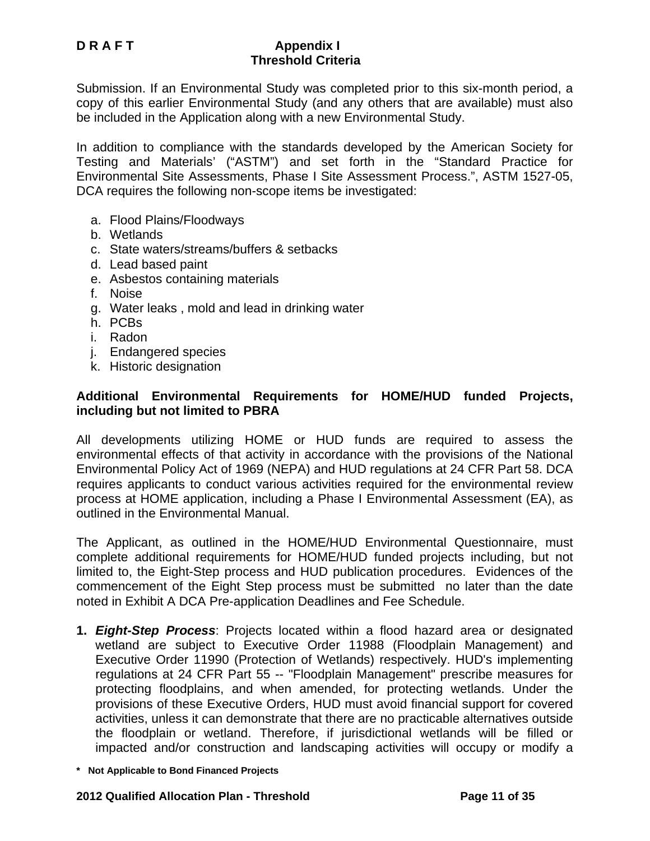Submission. If an Environmental Study was completed prior to this six-month period, a copy of this earlier Environmental Study (and any others that are available) must also be included in the Application along with a new Environmental Study.

In addition to compliance with the standards developed by the American Society for Testing and Materials' ("ASTM") and set forth in the "Standard Practice for Environmental Site Assessments, Phase I Site Assessment Process.", ASTM 1527-05, DCA requires the following non-scope items be investigated:

- a. Flood Plains/Floodways
- b. Wetlands
- c. State waters/streams/buffers & setbacks
- d. Lead based paint
- e. Asbestos containing materials
- f. Noise
- g. Water leaks , mold and lead in drinking water
- h. PCBs
- i. Radon
- j. Endangered species
- k. Historic designation

#### **Additional Environmental Requirements for HOME/HUD funded Projects, including but not limited to PBRA**

All developments utilizing HOME or HUD funds are required to assess the environmental effects of that activity in accordance with the provisions of the National Environmental Policy Act of 1969 (NEPA) and HUD regulations at 24 CFR Part 58. DCA requires applicants to conduct various activities required for the environmental review process at HOME application, including a Phase I Environmental Assessment (EA), as outlined in the Environmental Manual.

The Applicant, as outlined in the HOME/HUD Environmental Questionnaire, must complete additional requirements for HOME/HUD funded projects including, but not limited to, the Eight-Step process and HUD publication procedures. Evidences of the commencement of the Eight Step process must be submitted no later than the date noted in Exhibit A DCA Pre-application Deadlines and Fee Schedule.

- **1.** *Eight-Step Process*: Projects located within a flood hazard area or designated wetland are subject to Executive Order 11988 (Floodplain Management) and Executive Order 11990 (Protection of Wetlands) respectively. HUD's implementing regulations at 24 CFR Part 55 -- "Floodplain Management" prescribe measures for protecting floodplains, and when amended, for protecting wetlands. Under the provisions of these Executive Orders, HUD must avoid financial support for covered activities, unless it can demonstrate that there are no practicable alternatives outside the floodplain or wetland. Therefore, if jurisdictional wetlands will be filled or impacted and/or construction and landscaping activities will occupy or modify a
- **\* Not Applicable to Bond Financed Projects**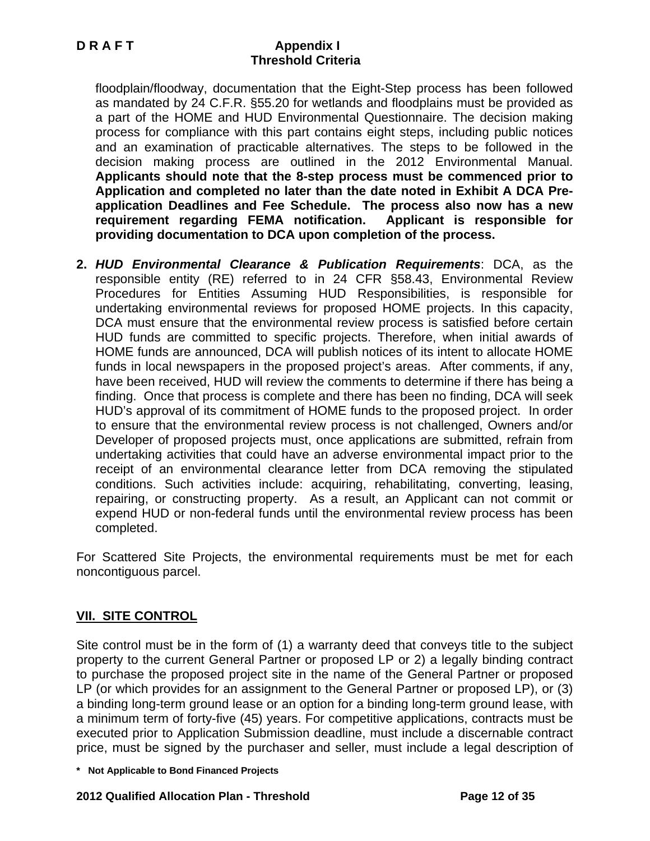floodplain/floodway, documentation that the Eight-Step process has been followed as mandated by 24 C.F.R. §55.20 for wetlands and floodplains must be provided as a part of the HOME and HUD Environmental Questionnaire. The decision making process for compliance with this part contains eight steps, including public notices and an examination of practicable alternatives. The steps to be followed in the decision making process are outlined in the 2012 Environmental Manual. **Applicants should note that the 8-step process must be commenced prior to Application and completed no later than the date noted in Exhibit A DCA Preapplication Deadlines and Fee Schedule. The process also now has a new requirement regarding FEMA notification. Applicant is responsible for providing documentation to DCA upon completion of the process.**

**2.** *HUD Environmental Clearance & Publication Requirements*: DCA, as the responsible entity (RE) referred to in 24 CFR §58.43, Environmental Review Procedures for Entities Assuming HUD Responsibilities, is responsible for undertaking environmental reviews for proposed HOME projects. In this capacity, DCA must ensure that the environmental review process is satisfied before certain HUD funds are committed to specific projects. Therefore, when initial awards of HOME funds are announced, DCA will publish notices of its intent to allocate HOME funds in local newspapers in the proposed project's areas. After comments, if any, have been received, HUD will review the comments to determine if there has being a finding. Once that process is complete and there has been no finding, DCA will seek HUD's approval of its commitment of HOME funds to the proposed project. In order to ensure that the environmental review process is not challenged, Owners and/or Developer of proposed projects must, once applications are submitted, refrain from undertaking activities that could have an adverse environmental impact prior to the receipt of an environmental clearance letter from DCA removing the stipulated conditions. Such activities include: acquiring, rehabilitating, converting, leasing, repairing, or constructing property. As a result, an Applicant can not commit or expend HUD or non-federal funds until the environmental review process has been completed.

For Scattered Site Projects, the environmental requirements must be met for each noncontiguous parcel.

# **VII. SITE CONTROL**

Site control must be in the form of (1) a warranty deed that conveys title to the subject property to the current General Partner or proposed LP or 2) a legally binding contract to purchase the proposed project site in the name of the General Partner or proposed LP (or which provides for an assignment to the General Partner or proposed LP), or (3) a binding long-term ground lease or an option for a binding long-term ground lease, with a minimum term of forty-five (45) years. For competitive applications, contracts must be executed prior to Application Submission deadline, must include a discernable contract price, must be signed by the purchaser and seller, must include a legal description of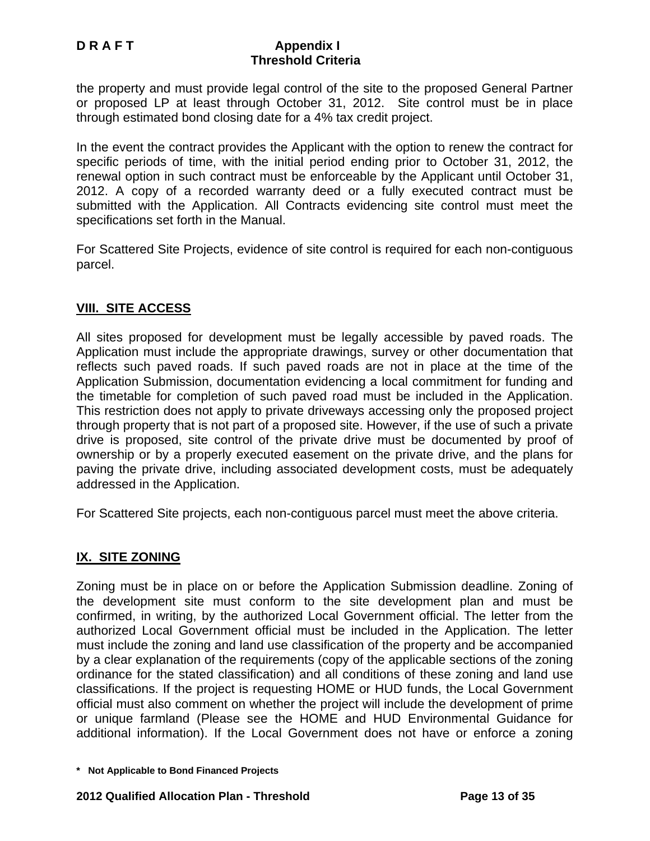the property and must provide legal control of the site to the proposed General Partner or proposed LP at least through October 31, 2012. Site control must be in place through estimated bond closing date for a 4% tax credit project.

In the event the contract provides the Applicant with the option to renew the contract for specific periods of time, with the initial period ending prior to October 31, 2012, the renewal option in such contract must be enforceable by the Applicant until October 31, 2012. A copy of a recorded warranty deed or a fully executed contract must be submitted with the Application. All Contracts evidencing site control must meet the specifications set forth in the Manual.

For Scattered Site Projects, evidence of site control is required for each non-contiguous parcel.

## **VIII. SITE ACCESS**

All sites proposed for development must be legally accessible by paved roads. The Application must include the appropriate drawings, survey or other documentation that reflects such paved roads. If such paved roads are not in place at the time of the Application Submission, documentation evidencing a local commitment for funding and the timetable for completion of such paved road must be included in the Application. This restriction does not apply to private driveways accessing only the proposed project through property that is not part of a proposed site. However, if the use of such a private drive is proposed, site control of the private drive must be documented by proof of ownership or by a properly executed easement on the private drive, and the plans for paving the private drive, including associated development costs, must be adequately addressed in the Application.

For Scattered Site projects, each non-contiguous parcel must meet the above criteria.

## **IX. SITE ZONING**

Zoning must be in place on or before the Application Submission deadline. Zoning of the development site must conform to the site development plan and must be confirmed, in writing, by the authorized Local Government official. The letter from the authorized Local Government official must be included in the Application. The letter must include the zoning and land use classification of the property and be accompanied by a clear explanation of the requirements (copy of the applicable sections of the zoning ordinance for the stated classification) and all conditions of these zoning and land use classifications. If the project is requesting HOME or HUD funds, the Local Government official must also comment on whether the project will include the development of prime or unique farmland (Please see the HOME and HUD Environmental Guidance for additional information). If the Local Government does not have or enforce a zoning

**<sup>\*</sup> Not Applicable to Bond Financed Projects**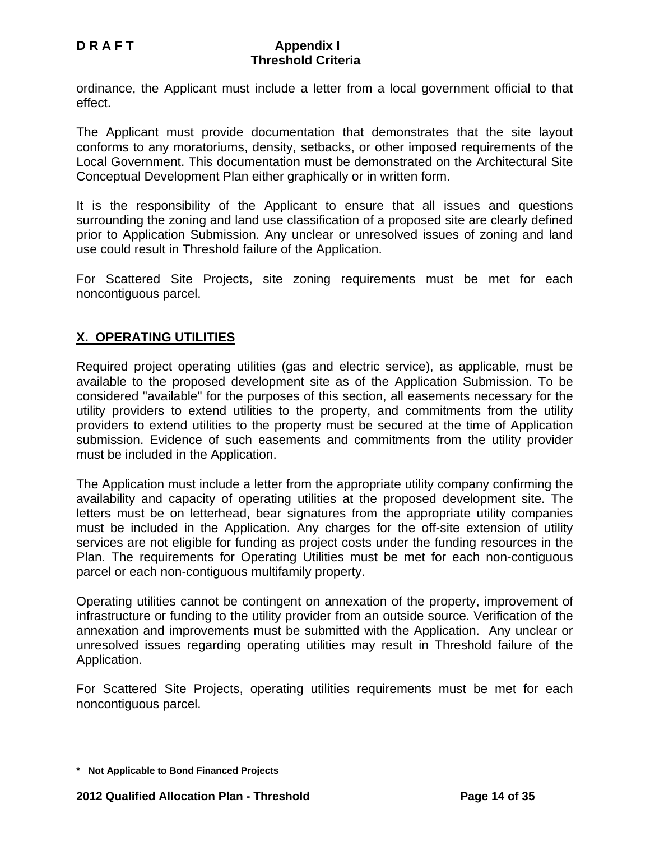ordinance, the Applicant must include a letter from a local government official to that effect.

The Applicant must provide documentation that demonstrates that the site layout conforms to any moratoriums, density, setbacks, or other imposed requirements of the Local Government. This documentation must be demonstrated on the Architectural Site Conceptual Development Plan either graphically or in written form.

It is the responsibility of the Applicant to ensure that all issues and questions surrounding the zoning and land use classification of a proposed site are clearly defined prior to Application Submission. Any unclear or unresolved issues of zoning and land use could result in Threshold failure of the Application.

For Scattered Site Projects, site zoning requirements must be met for each noncontiguous parcel.

## **X. OPERATING UTILITIES**

Required project operating utilities (gas and electric service), as applicable, must be available to the proposed development site as of the Application Submission. To be considered "available" for the purposes of this section, all easements necessary for the utility providers to extend utilities to the property, and commitments from the utility providers to extend utilities to the property must be secured at the time of Application submission. Evidence of such easements and commitments from the utility provider must be included in the Application.

The Application must include a letter from the appropriate utility company confirming the availability and capacity of operating utilities at the proposed development site. The letters must be on letterhead, bear signatures from the appropriate utility companies must be included in the Application. Any charges for the off-site extension of utility services are not eligible for funding as project costs under the funding resources in the Plan. The requirements for Operating Utilities must be met for each non-contiguous parcel or each non-contiguous multifamily property.

Operating utilities cannot be contingent on annexation of the property, improvement of infrastructure or funding to the utility provider from an outside source. Verification of the annexation and improvements must be submitted with the Application. Any unclear or unresolved issues regarding operating utilities may result in Threshold failure of the Application.

For Scattered Site Projects, operating utilities requirements must be met for each noncontiguous parcel.

**<sup>\*</sup> Not Applicable to Bond Financed Projects**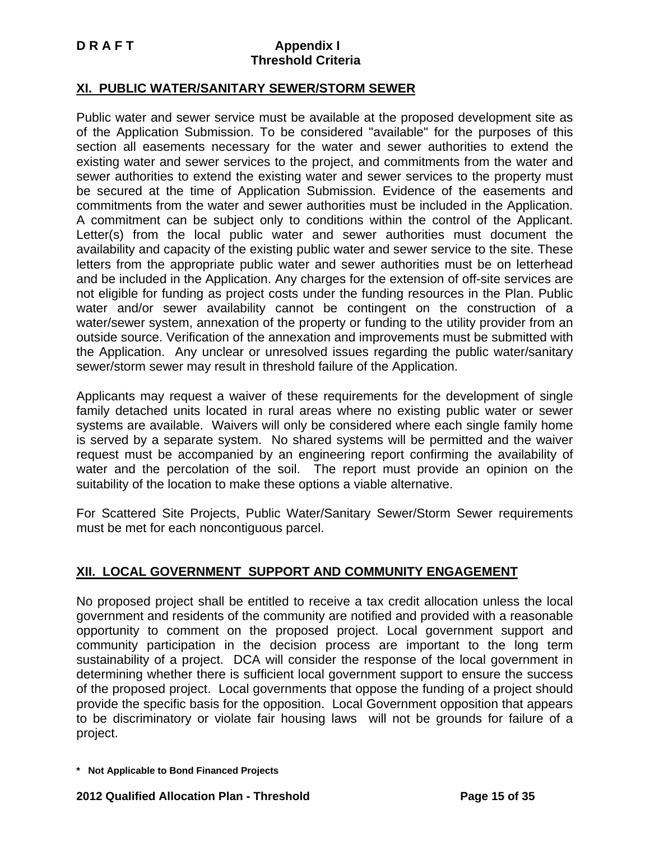## **XI. PUBLIC WATER/SANITARY SEWER/STORM SEWER**

Public water and sewer service must be available at the proposed development site as of the Application Submission. To be considered "available" for the purposes of this section all easements necessary for the water and sewer authorities to extend the existing water and sewer services to the project, and commitments from the water and sewer authorities to extend the existing water and sewer services to the property must be secured at the time of Application Submission. Evidence of the easements and commitments from the water and sewer authorities must be included in the Application. A commitment can be subject only to conditions within the control of the Applicant. Letter(s) from the local public water and sewer authorities must document the availability and capacity of the existing public water and sewer service to the site. These letters from the appropriate public water and sewer authorities must be on letterhead and be included in the Application. Any charges for the extension of off-site services are not eligible for funding as project costs under the funding resources in the Plan. Public water and/or sewer availability cannot be contingent on the construction of a water/sewer system, annexation of the property or funding to the utility provider from an outside source. Verification of the annexation and improvements must be submitted with the Application.Any unclear or unresolved issues regarding the public water/sanitary sewer/storm sewer may result in threshold failure of the Application.

Applicants may request a waiver of these requirements for the development of single family detached units located in rural areas where no existing public water or sewer systems are available. Waivers will only be considered where each single family home is served by a separate system. No shared systems will be permitted and the waiver request must be accompanied by an engineering report confirming the availability of water and the percolation of the soil. The report must provide an opinion on the suitability of the location to make these options a viable alternative.

For Scattered Site Projects, Public Water/Sanitary Sewer/Storm Sewer requirements must be met for each noncontiguous parcel.

## **XII. LOCAL GOVERNMENT SUPPORT AND COMMUNITY ENGAGEMENT**

No proposed project shall be entitled to receive a tax credit allocation unless the local government and residents of the community are notified and provided with a reasonable opportunity to comment on the proposed project. Local government support and community participation in the decision process are important to the long term sustainability of a project. DCA will consider the response of the local government in determining whether there is sufficient local government support to ensure the success of the proposed project. Local governments that oppose the funding of a project should provide the specific basis for the opposition. Local Government opposition that appears to be discriminatory or violate fair housing laws will not be grounds for failure of a project.

**<sup>\*</sup> Not Applicable to Bond Financed Projects**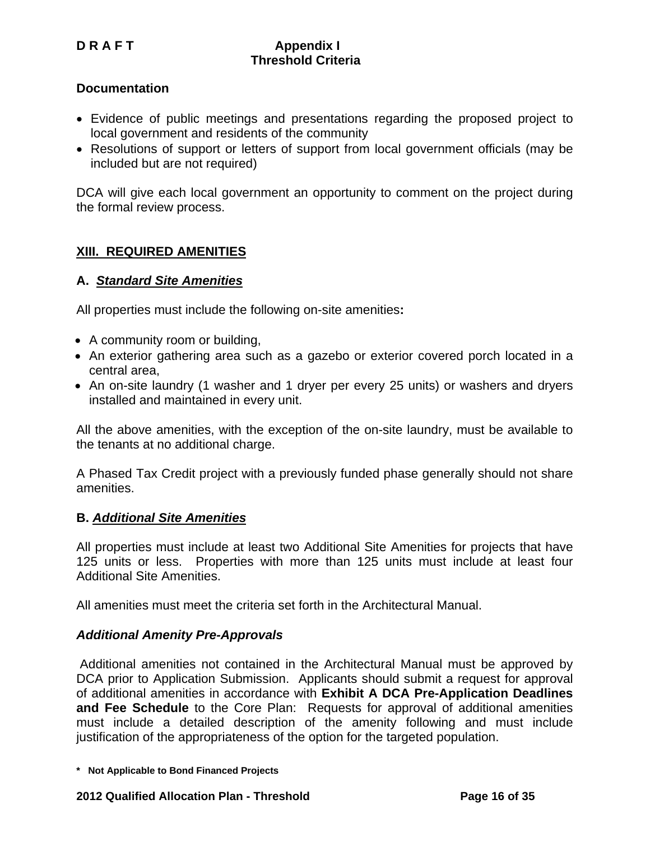## **Documentation**

- Evidence of public meetings and presentations regarding the proposed project to local government and residents of the community
- Resolutions of support or letters of support from local government officials (may be included but are not required)

DCA will give each local government an opportunity to comment on the project during the formal review process.

## **XIII. REQUIRED AMENITIES**

## **A.** *Standard Site Amenities*

All properties must include the following on-site amenities**:** 

- A community room or building,
- An exterior gathering area such as a gazebo or exterior covered porch located in a central area,
- An on-site laundry (1 washer and 1 dryer per every 25 units) or washers and dryers installed and maintained in every unit.

All the above amenities, with the exception of the on-site laundry, must be available to the tenants at no additional charge.

A Phased Tax Credit project with a previously funded phase generally should not share amenities.

#### **B.** *Additional Site Amenities*

All properties must include at least two Additional Site Amenities for projects that have 125 units or less. Properties with more than 125 units must include at least four Additional Site Amenities.

All amenities must meet the criteria set forth in the Architectural Manual.

## *Additional Amenity Pre-Approvals*

 Additional amenities not contained in the Architectural Manual must be approved by DCA prior to Application Submission. Applicants should submit a request for approval of additional amenities in accordance with **Exhibit A DCA Pre-Application Deadlines and Fee Schedule** to the Core Plan: Requests for approval of additional amenities must include a detailed description of the amenity following and must include justification of the appropriateness of the option for the targeted population.

**<sup>\*</sup> Not Applicable to Bond Financed Projects**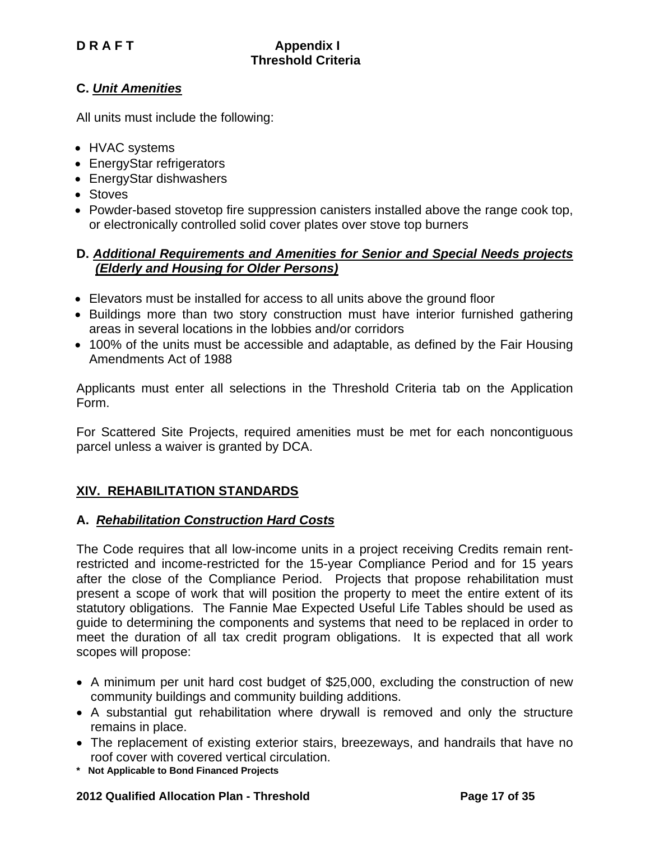## **C.** *Unit Amenities*

All units must include the following:

- HVAC systems
- EnergyStar refrigerators
- EnergyStar dishwashers
- Stoves
- Powder-based stovetop fire suppression canisters installed above the range cook top, or electronically controlled solid cover plates over stove top burners

## **D.** *Additional Requirements and Amenities for Senior and Special Needs projects (Elderly and Housing for Older Persons)*

- Elevators must be installed for access to all units above the ground floor
- Buildings more than two story construction must have interior furnished gathering areas in several locations in the lobbies and/or corridors
- 100% of the units must be accessible and adaptable, as defined by the Fair Housing Amendments Act of 1988

Applicants must enter all selections in the Threshold Criteria tab on the Application Form.

For Scattered Site Projects, required amenities must be met for each noncontiguous parcel unless a waiver is granted by DCA.

## **XIV. REHABILITATION STANDARDS**

## **A.** *Rehabilitation Construction Hard Costs*

The Code requires that all low-income units in a project receiving Credits remain rentrestricted and income-restricted for the 15-year Compliance Period and for 15 years after the close of the Compliance Period. Projects that propose rehabilitation must present a scope of work that will position the property to meet the entire extent of its statutory obligations. The Fannie Mae Expected Useful Life Tables should be used as guide to determining the components and systems that need to be replaced in order to meet the duration of all tax credit program obligations. It is expected that all work scopes will propose:

- A minimum per unit hard cost budget of \$25,000, excluding the construction of new community buildings and community building additions.
- A substantial gut rehabilitation where drywall is removed and only the structure remains in place.
- The replacement of existing exterior stairs, breezeways, and handrails that have no roof cover with covered vertical circulation.
- **\* Not Applicable to Bond Financed Projects**

#### **2012 Qualified Allocation Plan - Threshold Page 17 of 35**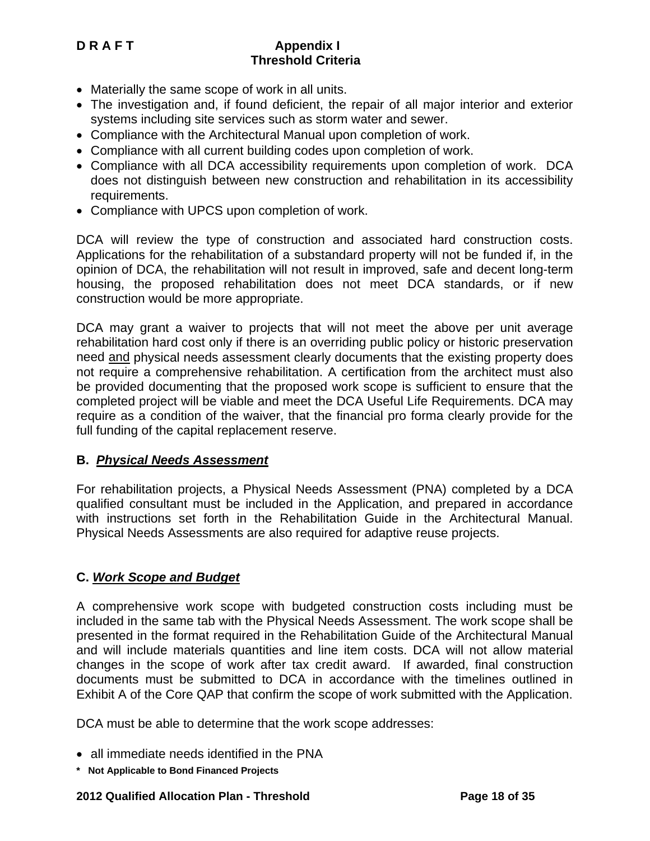- Materially the same scope of work in all units.
- The investigation and, if found deficient, the repair of all major interior and exterior systems including site services such as storm water and sewer.
- Compliance with the Architectural Manual upon completion of work.
- Compliance with all current building codes upon completion of work.
- Compliance with all DCA accessibility requirements upon completion of work. DCA does not distinguish between new construction and rehabilitation in its accessibility requirements.
- Compliance with UPCS upon completion of work.

DCA will review the type of construction and associated hard construction costs. Applications for the rehabilitation of a substandard property will not be funded if, in the opinion of DCA, the rehabilitation will not result in improved, safe and decent long-term housing, the proposed rehabilitation does not meet DCA standards, or if new construction would be more appropriate.

DCA may grant a waiver to projects that will not meet the above per unit average rehabilitation hard cost only if there is an overriding public policy or historic preservation need and physical needs assessment clearly documents that the existing property does not require a comprehensive rehabilitation. A certification from the architect must also be provided documenting that the proposed work scope is sufficient to ensure that the completed project will be viable and meet the DCA Useful Life Requirements. DCA may require as a condition of the waiver, that the financial pro forma clearly provide for the full funding of the capital replacement reserve.

## **B.** *Physical Needs Assessment*

For rehabilitation projects, a Physical Needs Assessment (PNA) completed by a DCA qualified consultant must be included in the Application, and prepared in accordance with instructions set forth in the Rehabilitation Guide in the Architectural Manual. Physical Needs Assessments are also required for adaptive reuse projects.

## **C.** *Work Scope and Budget*

A comprehensive work scope with budgeted construction costs including must be included in the same tab with the Physical Needs Assessment. The work scope shall be presented in the format required in the Rehabilitation Guide of the Architectural Manual and will include materials quantities and line item costs. DCA will not allow material changes in the scope of work after tax credit award. If awarded, final construction documents must be submitted to DCA in accordance with the timelines outlined in Exhibit A of the Core QAP that confirm the scope of work submitted with the Application.

DCA must be able to determine that the work scope addresses:

- all immediate needs identified in the PNA
- **\* Not Applicable to Bond Financed Projects**

## **2012 Qualified Allocation Plan - Threshold Page 18 of 35**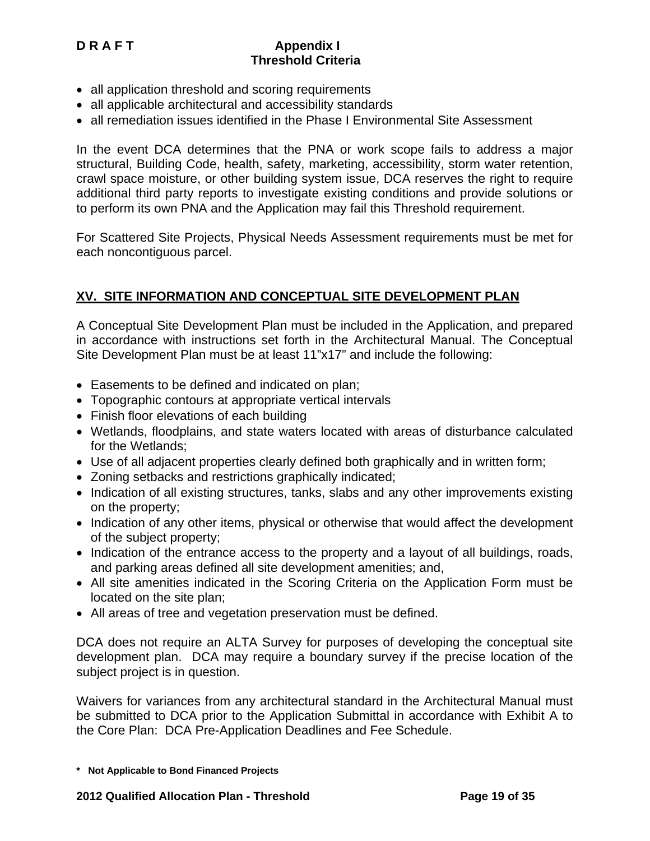- all application threshold and scoring requirements
- all applicable architectural and accessibility standards
- all remediation issues identified in the Phase I Environmental Site Assessment

In the event DCA determines that the PNA or work scope fails to address a major structural, Building Code, health, safety, marketing, accessibility, storm water retention, crawl space moisture, or other building system issue, DCA reserves the right to require additional third party reports to investigate existing conditions and provide solutions or to perform its own PNA and the Application may fail this Threshold requirement.

For Scattered Site Projects, Physical Needs Assessment requirements must be met for each noncontiguous parcel.

## **XV. SITE INFORMATION AND CONCEPTUAL SITE DEVELOPMENT PLAN**

A Conceptual Site Development Plan must be included in the Application, and prepared in accordance with instructions set forth in the Architectural Manual. The Conceptual Site Development Plan must be at least 11"x17" and include the following:

- Easements to be defined and indicated on plan;
- Topographic contours at appropriate vertical intervals
- Finish floor elevations of each building
- Wetlands, floodplains, and state waters located with areas of disturbance calculated for the Wetlands;
- Use of all adjacent properties clearly defined both graphically and in written form;
- Zoning setbacks and restrictions graphically indicated;
- Indication of all existing structures, tanks, slabs and any other improvements existing on the property;
- Indication of any other items, physical or otherwise that would affect the development of the subject property;
- Indication of the entrance access to the property and a layout of all buildings, roads, and parking areas defined all site development amenities; and,
- All site amenities indicated in the Scoring Criteria on the Application Form must be located on the site plan;
- All areas of tree and vegetation preservation must be defined.

DCA does not require an ALTA Survey for purposes of developing the conceptual site development plan. DCA may require a boundary survey if the precise location of the subject project is in question.

Waivers for variances from any architectural standard in the Architectural Manual must be submitted to DCA prior to the Application Submittal in accordance with Exhibit A to the Core Plan: DCA Pre-Application Deadlines and Fee Schedule.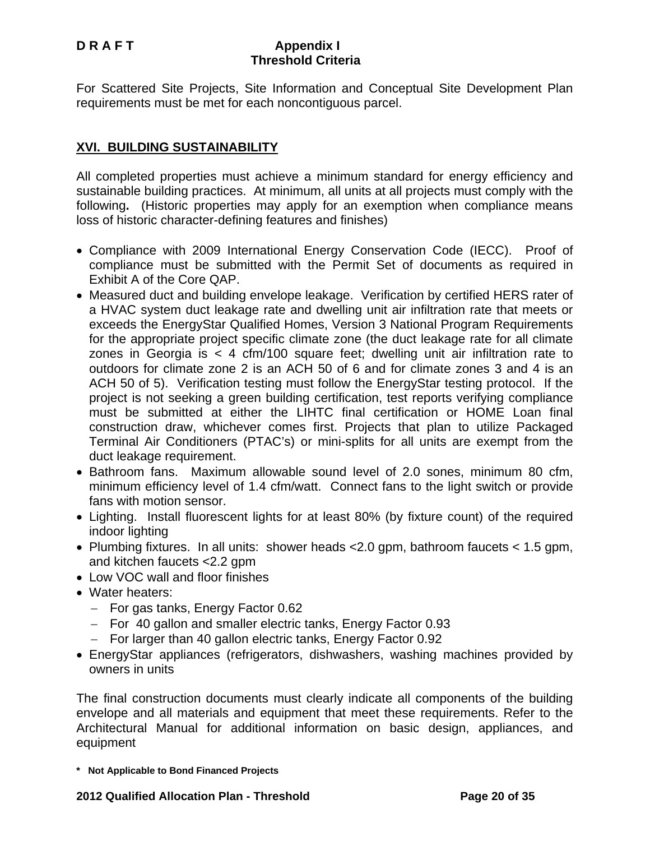For Scattered Site Projects, Site Information and Conceptual Site Development Plan requirements must be met for each noncontiguous parcel.

## **XVI. BUILDING SUSTAINABILITY**

All completed properties must achieve a minimum standard for energy efficiency and sustainable building practices. At minimum, all units at all projects must comply with the following**.** (Historic properties may apply for an exemption when compliance means loss of historic character-defining features and finishes)

- Compliance with 2009 International Energy Conservation Code (IECC). Proof of compliance must be submitted with the Permit Set of documents as required in Exhibit A of the Core QAP.
- Measured duct and building envelope leakage. Verification by certified HERS rater of a HVAC system duct leakage rate and dwelling unit air infiltration rate that meets or exceeds the EnergyStar Qualified Homes, Version 3 National Program Requirements for the appropriate project specific climate zone (the duct leakage rate for all climate zones in Georgia is < 4 cfm/100 square feet; dwelling unit air infiltration rate to outdoors for climate zone 2 is an ACH 50 of 6 and for climate zones 3 and 4 is an ACH 50 of 5). Verification testing must follow the EnergyStar testing protocol. If the project is not seeking a green building certification, test reports verifying compliance must be submitted at either the LIHTC final certification or HOME Loan final construction draw, whichever comes first. Projects that plan to utilize Packaged Terminal Air Conditioners (PTAC's) or mini-splits for all units are exempt from the duct leakage requirement.
- Bathroom fans. Maximum allowable sound level of 2.0 sones, minimum 80 cfm, minimum efficiency level of 1.4 cfm/watt. Connect fans to the light switch or provide fans with motion sensor.
- Lighting. Install fluorescent lights for at least 80% (by fixture count) of the required indoor lighting
- Plumbing fixtures. In all units: shower heads <2.0 gpm, bathroom faucets < 1.5 gpm, and kitchen faucets <2.2 gpm
- Low VOC wall and floor finishes
- Water heaters:
	- − For gas tanks, Energy Factor 0.62
	- − For 40 gallon and smaller electric tanks, Energy Factor 0.93
	- − For larger than 40 gallon electric tanks, Energy Factor 0.92
- EnergyStar appliances (refrigerators, dishwashers, washing machines provided by owners in units

The final construction documents must clearly indicate all components of the building envelope and all materials and equipment that meet these requirements. Refer to the Architectural Manual for additional information on basic design, appliances, and equipment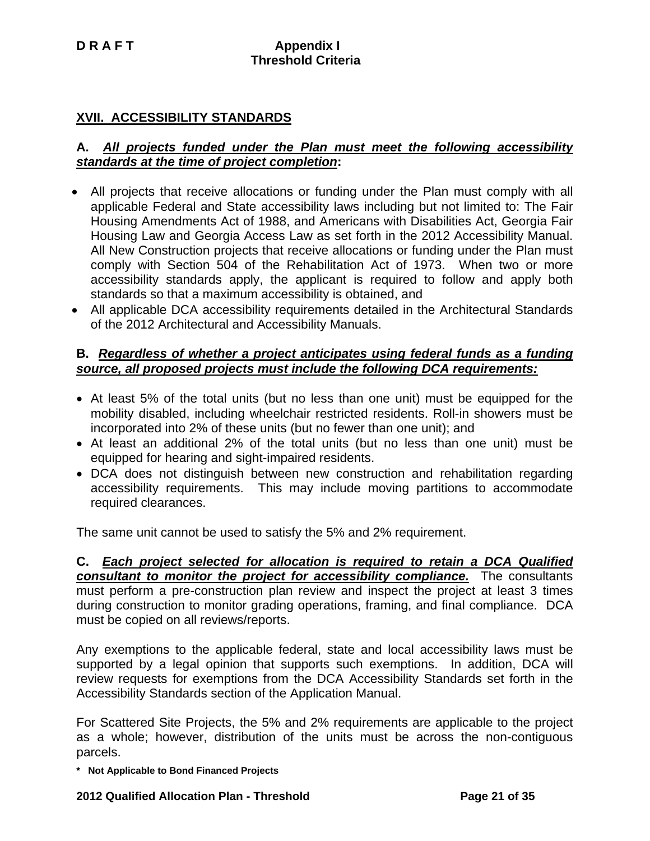## **XVII. ACCESSIBILITY STANDARDS**

## **A.** *All projects funded under the Plan must meet the following accessibility standards at the time of project completion***:**

- All projects that receive allocations or funding under the Plan must comply with all applicable Federal and State accessibility laws including but not limited to: The Fair Housing Amendments Act of 1988, and Americans with Disabilities Act, Georgia Fair Housing Law and Georgia Access Law as set forth in the 2012 Accessibility Manual. All New Construction projects that receive allocations or funding under the Plan must comply with Section 504 of the Rehabilitation Act of 1973. When two or more accessibility standards apply, the applicant is required to follow and apply both standards so that a maximum accessibility is obtained, and
- All applicable DCA accessibility requirements detailed in the Architectural Standards of the 2012 Architectural and Accessibility Manuals.

#### **B.** *Regardless of whether a project anticipates using federal funds as a funding source, all proposed projects must include the following DCA requirements:*

- At least 5% of the total units (but no less than one unit) must be equipped for the mobility disabled, including wheelchair restricted residents. Roll-in showers must be incorporated into 2% of these units (but no fewer than one unit); and
- At least an additional 2% of the total units (but no less than one unit) must be equipped for hearing and sight-impaired residents.
- DCA does not distinguish between new construction and rehabilitation regarding accessibility requirements. This may include moving partitions to accommodate required clearances.

The same unit cannot be used to satisfy the 5% and 2% requirement.

**C.** *Each project selected for allocation is required to retain a DCA Qualified consultant to monitor the project for accessibility compliance.* The consultants must perform a pre-construction plan review and inspect the project at least 3 times during construction to monitor grading operations, framing, and final compliance. DCA must be copied on all reviews/reports.

Any exemptions to the applicable federal, state and local accessibility laws must be supported by a legal opinion that supports such exemptions. In addition, DCA will review requests for exemptions from the DCA Accessibility Standards set forth in the Accessibility Standards section of the Application Manual.

For Scattered Site Projects, the 5% and 2% requirements are applicable to the project as a whole; however, distribution of the units must be across the non-contiguous parcels.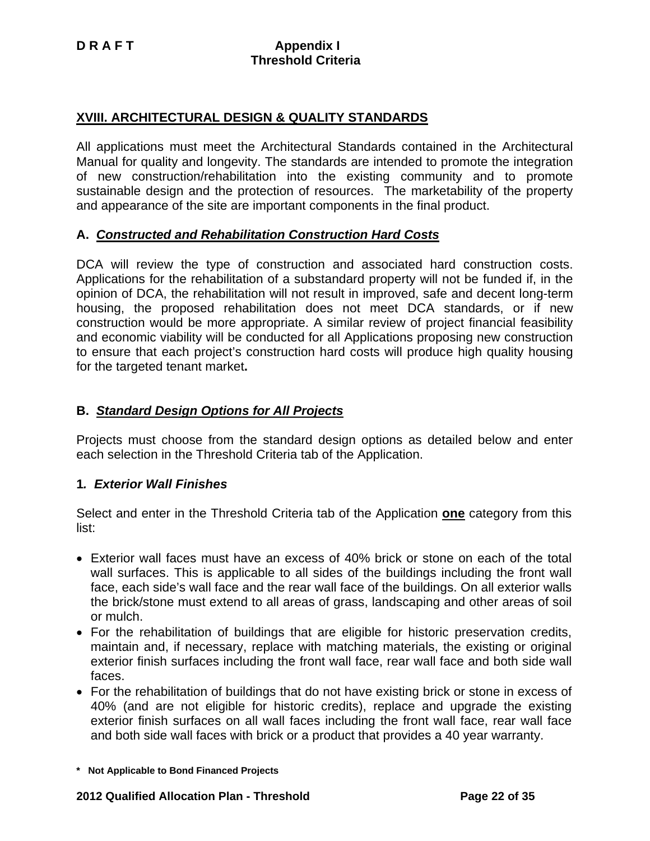## **XVIII. ARCHITECTURAL DESIGN & QUALITY STANDARDS**

All applications must meet the Architectural Standards contained in the Architectural Manual for quality and longevity. The standards are intended to promote the integration of new construction/rehabilitation into the existing community and to promote sustainable design and the protection of resources. The marketability of the property and appearance of the site are important components in the final product.

## **A.** *Constructed and Rehabilitation Construction Hard Costs*

DCA will review the type of construction and associated hard construction costs. Applications for the rehabilitation of a substandard property will not be funded if, in the opinion of DCA, the rehabilitation will not result in improved, safe and decent long-term housing, the proposed rehabilitation does not meet DCA standards, or if new construction would be more appropriate. A similar review of project financial feasibility and economic viability will be conducted for all Applications proposing new construction to ensure that each project's construction hard costs will produce high quality housing for the targeted tenant market**.** 

## **B.** *Standard Design Options for All Projects*

Projects must choose from the standard design options as detailed below and enter each selection in the Threshold Criteria tab of the Application.

## **1***. Exterior Wall Finishes*

Select and enter in the Threshold Criteria tab of the Application **one** category from this list:

- Exterior wall faces must have an excess of 40% brick or stone on each of the total wall surfaces. This is applicable to all sides of the buildings including the front wall face, each side's wall face and the rear wall face of the buildings. On all exterior walls the brick/stone must extend to all areas of grass, landscaping and other areas of soil or mulch.
- For the rehabilitation of buildings that are eligible for historic preservation credits, maintain and, if necessary, replace with matching materials, the existing or original exterior finish surfaces including the front wall face, rear wall face and both side wall faces.
- For the rehabilitation of buildings that do not have existing brick or stone in excess of 40% (and are not eligible for historic credits), replace and upgrade the existing exterior finish surfaces on all wall faces including the front wall face, rear wall face and both side wall faces with brick or a product that provides a 40 year warranty.

**<sup>\*</sup> Not Applicable to Bond Financed Projects**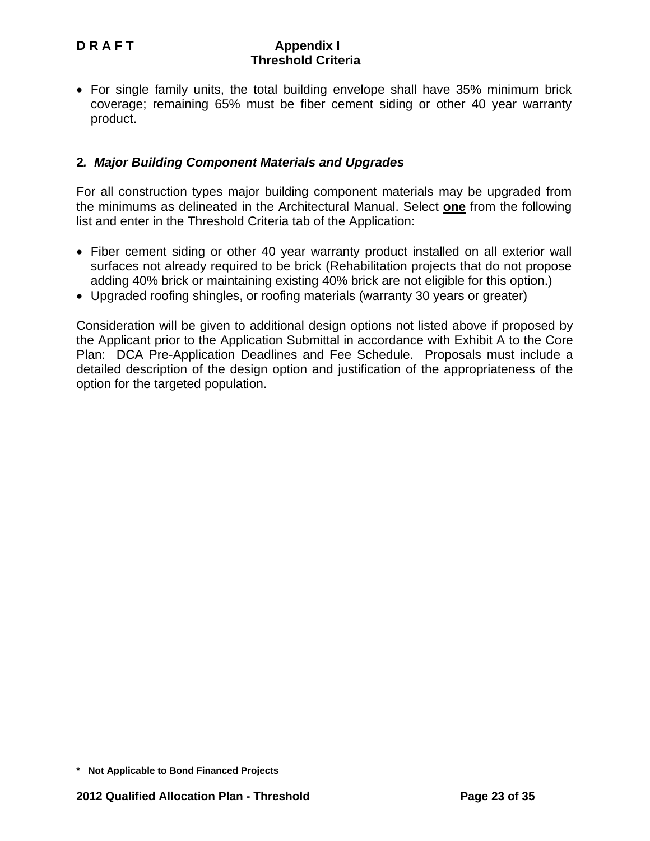• For single family units, the total building envelope shall have 35% minimum brick coverage; remaining 65% must be fiber cement siding or other 40 year warranty product.

## **2***. Major Building Component Materials and Upgrades*

For all construction types major building component materials may be upgraded from the minimums as delineated in the Architectural Manual. Select **one** from the following list and enter in the Threshold Criteria tab of the Application:

- Fiber cement siding or other 40 year warranty product installed on all exterior wall surfaces not already required to be brick (Rehabilitation projects that do not propose adding 40% brick or maintaining existing 40% brick are not eligible for this option.)
- Upgraded roofing shingles, or roofing materials (warranty 30 years or greater)

Consideration will be given to additional design options not listed above if proposed by the Applicant prior to the Application Submittal in accordance with Exhibit A to the Core Plan: DCA Pre-Application Deadlines and Fee Schedule. Proposals must include a detailed description of the design option and justification of the appropriateness of the option for the targeted population.

**<sup>\*</sup> Not Applicable to Bond Financed Projects**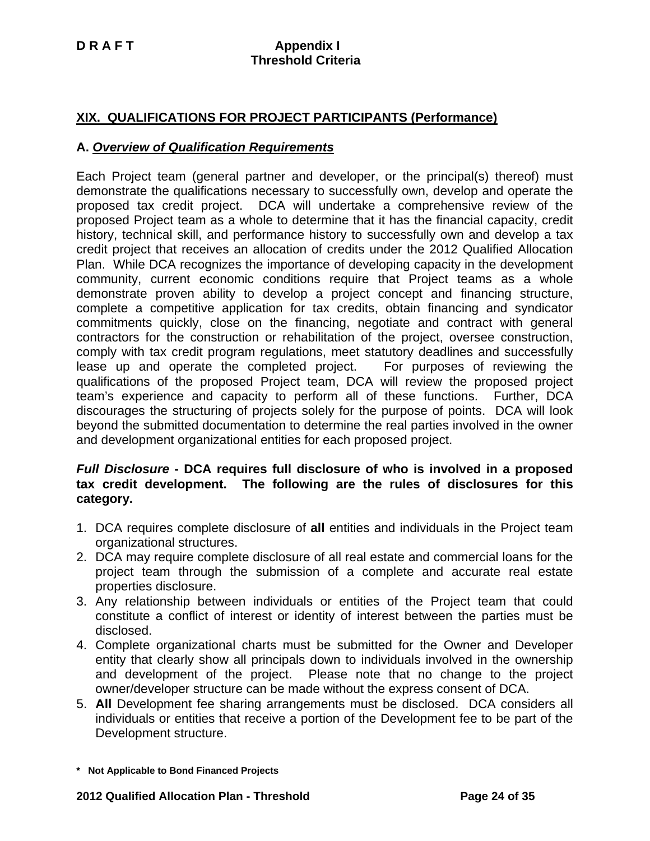## **XIX. QUALIFICATIONS FOR PROJECT PARTICIPANTS (Performance)**

## **A.** *Overview of Qualification Requirements*

Each Project team (general partner and developer, or the principal(s) thereof) must demonstrate the qualifications necessary to successfully own, develop and operate the proposed tax credit project. DCA will undertake a comprehensive review of the proposed Project team as a whole to determine that it has the financial capacity, credit history, technical skill, and performance history to successfully own and develop a tax credit project that receives an allocation of credits under the 2012 Qualified Allocation Plan. While DCA recognizes the importance of developing capacity in the development community, current economic conditions require that Project teams as a whole demonstrate proven ability to develop a project concept and financing structure, complete a competitive application for tax credits, obtain financing and syndicator commitments quickly, close on the financing, negotiate and contract with general contractors for the construction or rehabilitation of the project, oversee construction, comply with tax credit program regulations, meet statutory deadlines and successfully lease up and operate the completed project. For purposes of reviewing the qualifications of the proposed Project team, DCA will review the proposed project team's experience and capacity to perform all of these functions. Further, DCA discourages the structuring of projects solely for the purpose of points. DCA will look beyond the submitted documentation to determine the real parties involved in the owner and development organizational entities for each proposed project.

#### *Full Disclosure* **- DCA requires full disclosure of who is involved in a proposed tax credit development. The following are the rules of disclosures for this category.**

- 1. DCA requires complete disclosure of **all** entities and individuals in the Project team organizational structures.
- 2. DCA may require complete disclosure of all real estate and commercial loans for the project team through the submission of a complete and accurate real estate properties disclosure.
- 3. Any relationship between individuals or entities of the Project team that could constitute a conflict of interest or identity of interest between the parties must be disclosed.
- 4. Complete organizational charts must be submitted for the Owner and Developer entity that clearly show all principals down to individuals involved in the ownership and development of the project. Please note that no change to the project owner/developer structure can be made without the express consent of DCA.
- 5. **All** Development fee sharing arrangements must be disclosed. DCA considers all individuals or entities that receive a portion of the Development fee to be part of the Development structure.

**<sup>\*</sup> Not Applicable to Bond Financed Projects**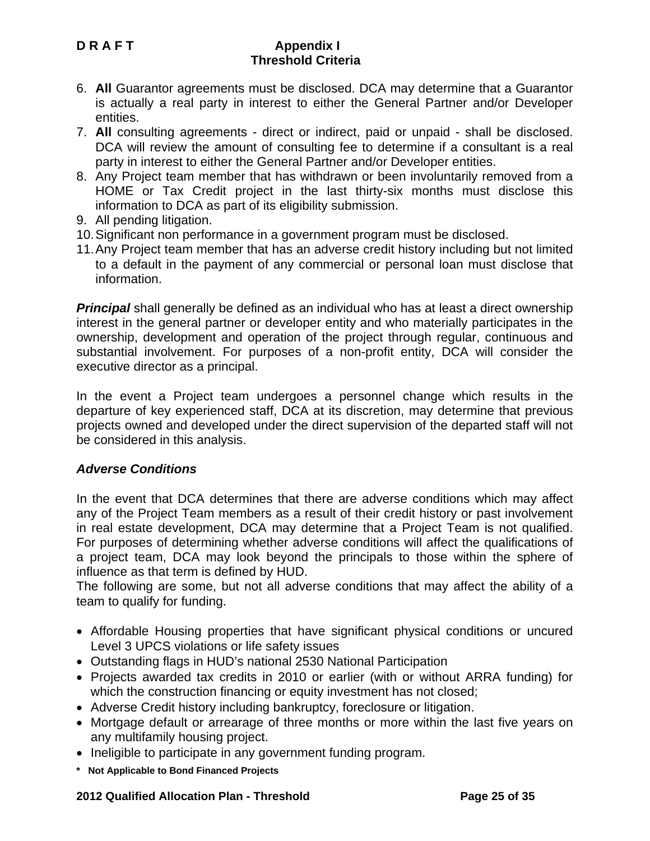- 6. **All** Guarantor agreements must be disclosed. DCA may determine that a Guarantor is actually a real party in interest to either the General Partner and/or Developer entities.
- 7. **All** consulting agreements direct or indirect, paid or unpaid shall be disclosed. DCA will review the amount of consulting fee to determine if a consultant is a real party in interest to either the General Partner and/or Developer entities.
- 8. Any Project team member that has withdrawn or been involuntarily removed from a HOME or Tax Credit project in the last thirty-six months must disclose this information to DCA as part of its eligibility submission.
- 9. All pending litigation.
- 10. Significant non performance in a government program must be disclosed.
- 11. Any Project team member that has an adverse credit history including but not limited to a default in the payment of any commercial or personal loan must disclose that information.

*Principal* shall generally be defined as an individual who has at least a direct ownership interest in the general partner or developer entity and who materially participates in the ownership, development and operation of the project through regular, continuous and substantial involvement. For purposes of a non-profit entity, DCA will consider the executive director as a principal.

In the event a Project team undergoes a personnel change which results in the departure of key experienced staff, DCA at its discretion, may determine that previous projects owned and developed under the direct supervision of the departed staff will not be considered in this analysis.

## *Adverse Conditions*

In the event that DCA determines that there are adverse conditions which may affect any of the Project Team members as a result of their credit history or past involvement in real estate development, DCA may determine that a Project Team is not qualified. For purposes of determining whether adverse conditions will affect the qualifications of a project team, DCA may look beyond the principals to those within the sphere of influence as that term is defined by HUD.

The following are some, but not all adverse conditions that may affect the ability of a team to qualify for funding.

- Affordable Housing properties that have significant physical conditions or uncured Level 3 UPCS violations or life safety issues
- Outstanding flags in HUD's national 2530 National Participation
- Projects awarded tax credits in 2010 or earlier (with or without ARRA funding) for which the construction financing or equity investment has not closed;
- Adverse Credit history including bankruptcy, foreclosure or litigation.
- Mortgage default or arrearage of three months or more within the last five years on any multifamily housing project.
- Ineligible to participate in any government funding program.
- **\* Not Applicable to Bond Financed Projects**

## **2012 Qualified Allocation Plan - Threshold Page 25 of 35**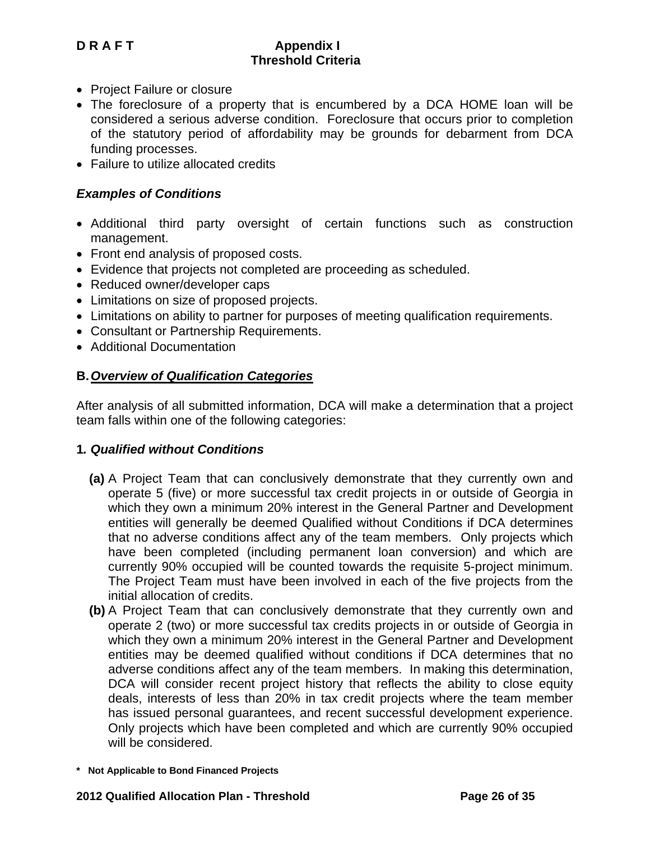- Project Failure or closure
- The foreclosure of a property that is encumbered by a DCA HOME loan will be considered a serious adverse condition. Foreclosure that occurs prior to completion of the statutory period of affordability may be grounds for debarment from DCA funding processes.
- Failure to utilize allocated credits

## *Examples of Conditions*

- Additional third party oversight of certain functions such as construction management.
- Front end analysis of proposed costs.
- Evidence that projects not completed are proceeding as scheduled.
- Reduced owner/developer caps
- Limitations on size of proposed projects.
- Limitations on ability to partner for purposes of meeting qualification requirements.
- Consultant or Partnership Requirements.
- Additional Documentation

## **B.** *Overview of Qualification Categories*

After analysis of all submitted information, DCA will make a determination that a project team falls within one of the following categories:

## **1***. Qualified without Conditions*

- **(a)** A Project Team that can conclusively demonstrate that they currently own and operate 5 (five) or more successful tax credit projects in or outside of Georgia in which they own a minimum 20% interest in the General Partner and Development entities will generally be deemed Qualified without Conditions if DCA determines that no adverse conditions affect any of the team members. Only projects which have been completed (including permanent loan conversion) and which are currently 90% occupied will be counted towards the requisite 5-project minimum. The Project Team must have been involved in each of the five projects from the initial allocation of credits.
- **(b)** A Project Team that can conclusively demonstrate that they currently own and operate 2 (two) or more successful tax credits projects in or outside of Georgia in which they own a minimum 20% interest in the General Partner and Development entities may be deemed qualified without conditions if DCA determines that no adverse conditions affect any of the team members. In making this determination, DCA will consider recent project history that reflects the ability to close equity deals, interests of less than 20% in tax credit projects where the team member has issued personal guarantees, and recent successful development experience. Only projects which have been completed and which are currently 90% occupied will be considered.

**<sup>\*</sup> Not Applicable to Bond Financed Projects**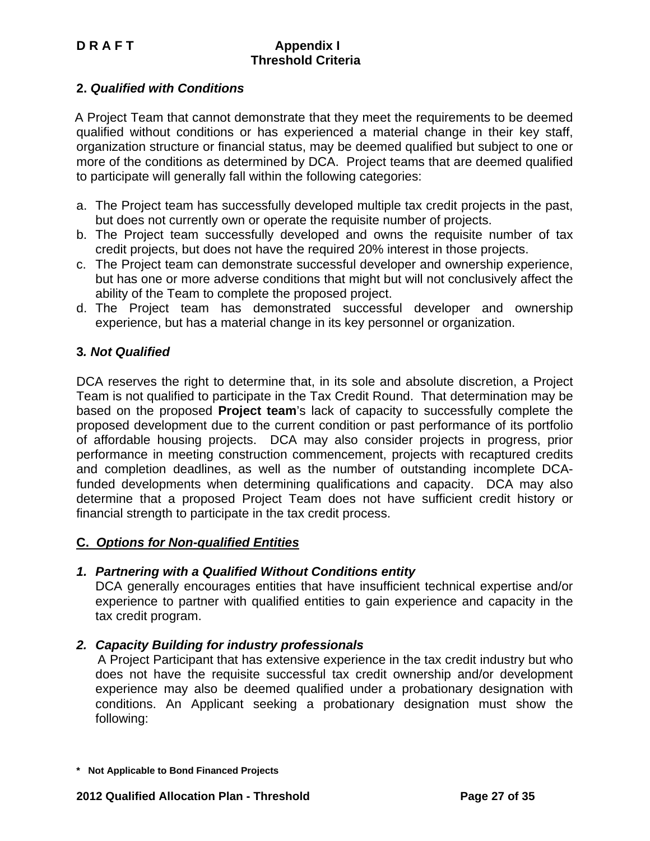## **2.** *Qualified with Conditions*

A Project Team that cannot demonstrate that they meet the requirements to be deemed qualified without conditions or has experienced a material change in their key staff, organization structure or financial status, may be deemed qualified but subject to one or more of the conditions as determined by DCA. Project teams that are deemed qualified to participate will generally fall within the following categories:

- a. The Project team has successfully developed multiple tax credit projects in the past, but does not currently own or operate the requisite number of projects.
- b. The Project team successfully developed and owns the requisite number of tax credit projects, but does not have the required 20% interest in those projects.
- c. The Project team can demonstrate successful developer and ownership experience, but has one or more adverse conditions that might but will not conclusively affect the ability of the Team to complete the proposed project.
- d. The Project team has demonstrated successful developer and ownership experience, but has a material change in its key personnel or organization.

## **3***. Not Qualified*

DCA reserves the right to determine that, in its sole and absolute discretion, a Project Team is not qualified to participate in the Tax Credit Round. That determination may be based on the proposed **Project team**'s lack of capacity to successfully complete the proposed development due to the current condition or past performance of its portfolio of affordable housing projects. DCA may also consider projects in progress, prior performance in meeting construction commencement, projects with recaptured credits and completion deadlines, as well as the number of outstanding incomplete DCAfunded developments when determining qualifications and capacity. DCA may also determine that a proposed Project Team does not have sufficient credit history or financial strength to participate in the tax credit process.

## **C.** *Options for Non-qualified Entities*

## *1. Partnering with a Qualified Without Conditions entity*

DCA generally encourages entities that have insufficient technical expertise and/or experience to partner with qualified entities to gain experience and capacity in the tax credit program.

## *2. Capacity Building for industry professionals*

 A Project Participant that has extensive experience in the tax credit industry but who does not have the requisite successful tax credit ownership and/or development experience may also be deemed qualified under a probationary designation with conditions. An Applicant seeking a probationary designation must show the following:

**<sup>\*</sup> Not Applicable to Bond Financed Projects**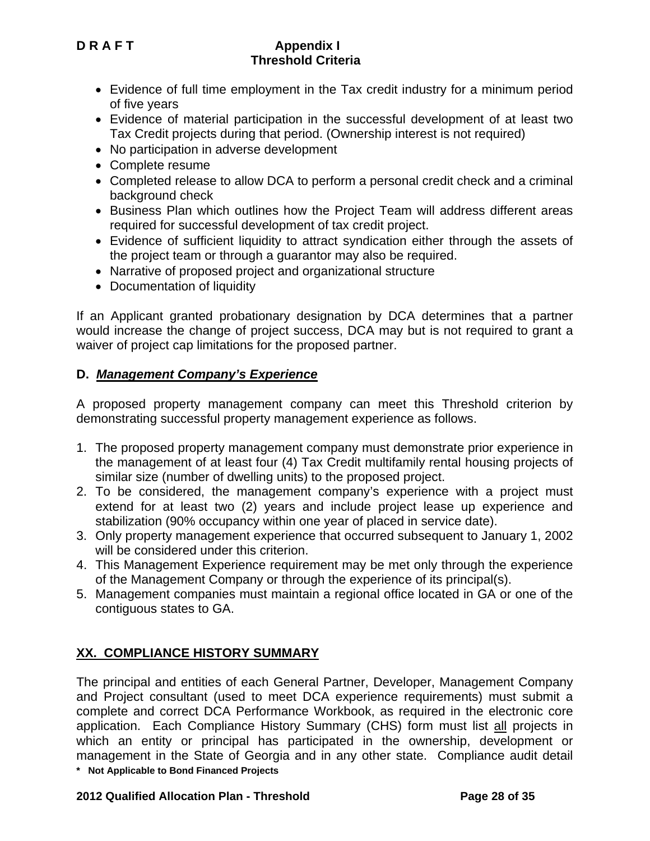- Evidence of full time employment in the Tax credit industry for a minimum period of five years
- Evidence of material participation in the successful development of at least two Tax Credit projects during that period. (Ownership interest is not required)
- No participation in adverse development
- Complete resume
- Completed release to allow DCA to perform a personal credit check and a criminal background check
- Business Plan which outlines how the Project Team will address different areas required for successful development of tax credit project.
- Evidence of sufficient liquidity to attract syndication either through the assets of the project team or through a guarantor may also be required.
- Narrative of proposed project and organizational structure
- Documentation of liquidity

If an Applicant granted probationary designation by DCA determines that a partner would increase the change of project success, DCA may but is not required to grant a waiver of project cap limitations for the proposed partner.

## **D.** *Management Company's Experience*

A proposed property management company can meet this Threshold criterion by demonstrating successful property management experience as follows.

- 1. The proposed property management company must demonstrate prior experience in the management of at least four (4) Tax Credit multifamily rental housing projects of similar size (number of dwelling units) to the proposed project.
- 2. To be considered, the management company's experience with a project must extend for at least two (2) years and include project lease up experience and stabilization (90% occupancy within one year of placed in service date).
- 3. Only property management experience that occurred subsequent to January 1, 2002 will be considered under this criterion.
- 4. This Management Experience requirement may be met only through the experience of the Management Company or through the experience of its principal(s).
- 5. Management companies must maintain a regional office located in GA or one of the contiguous states to GA.

# **XX. COMPLIANCE HISTORY SUMMARY**

**\* Not Applicable to Bond Financed Projects**  The principal and entities of each General Partner, Developer, Management Company and Project consultant (used to meet DCA experience requirements) must submit a complete and correct DCA Performance Workbook, as required in the electronic core application. Each Compliance History Summary (CHS) form must list all projects in which an entity or principal has participated in the ownership, development or management in the State of Georgia and in any other state. Compliance audit detail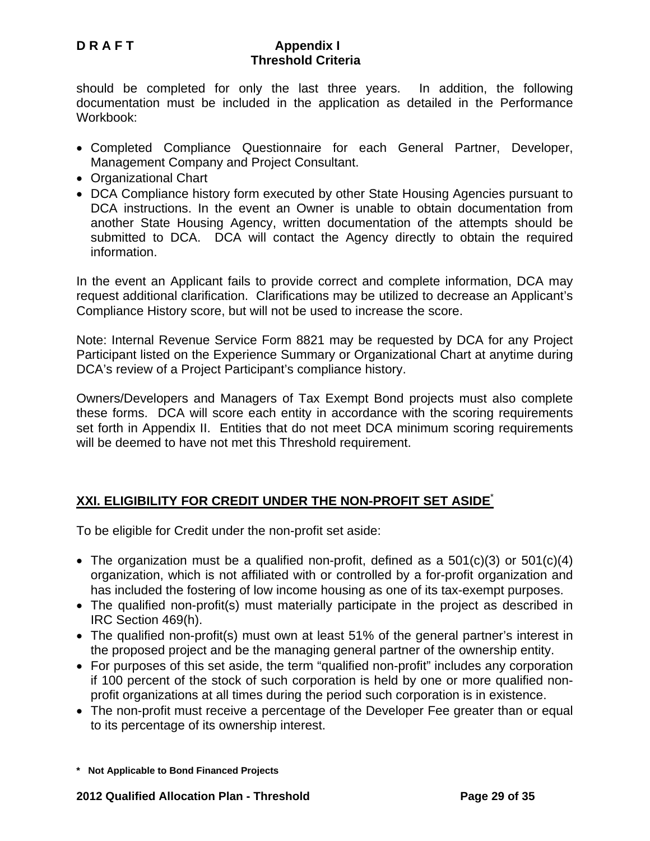should be completed for only the last three years. In addition, the following documentation must be included in the application as detailed in the Performance Workbook:

- Completed Compliance Questionnaire for each General Partner, Developer, Management Company and Project Consultant.
- Organizational Chart
- DCA Compliance history form executed by other State Housing Agencies pursuant to DCA instructions. In the event an Owner is unable to obtain documentation from another State Housing Agency, written documentation of the attempts should be submitted to DCA. DCA will contact the Agency directly to obtain the required information.

In the event an Applicant fails to provide correct and complete information, DCA may request additional clarification. Clarifications may be utilized to decrease an Applicant's Compliance History score, but will not be used to increase the score.

Note: Internal Revenue Service Form 8821 may be requested by DCA for any Project Participant listed on the Experience Summary or Organizational Chart at anytime during DCA's review of a Project Participant's compliance history.

Owners/Developers and Managers of Tax Exempt Bond projects must also complete these forms. DCA will score each entity in accordance with the scoring requirements set forth in Appendix II. Entities that do not meet DCA minimum scoring requirements will be deemed to have not met this Threshold requirement.

# **XXI. ELIGIBILITY FOR CREDIT UNDER THE NON-PROFIT SET ASIDE**\*

To be eligible for Credit under the non-profit set aside:

- The organization must be a qualified non-profit, defined as a  $501(c)(3)$  or  $501(c)(4)$ organization, which is not affiliated with or controlled by a for-profit organization and has included the fostering of low income housing as one of its tax-exempt purposes.
- The qualified non-profit(s) must materially participate in the project as described in IRC Section 469(h).
- The qualified non-profit(s) must own at least 51% of the general partner's interest in the proposed project and be the managing general partner of the ownership entity.
- For purposes of this set aside, the term "qualified non-profit" includes any corporation if 100 percent of the stock of such corporation is held by one or more qualified nonprofit organizations at all times during the period such corporation is in existence.
- The non-profit must receive a percentage of the Developer Fee greater than or equal to its percentage of its ownership interest.

**<sup>\*</sup> Not Applicable to Bond Financed Projects**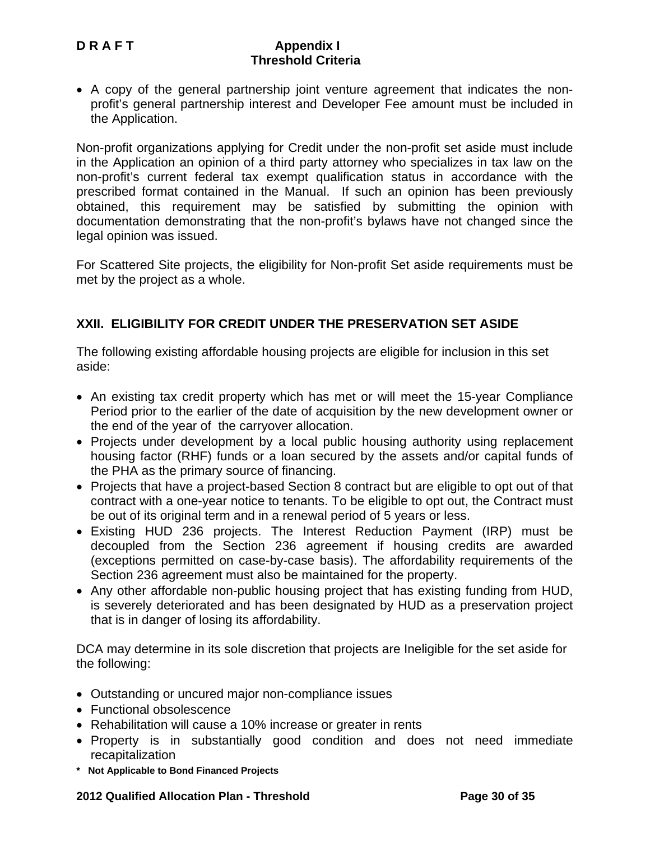• A copy of the general partnership joint venture agreement that indicates the nonprofit's general partnership interest and Developer Fee amount must be included in the Application.

Non-profit organizations applying for Credit under the non-profit set aside must include in the Application an opinion of a third party attorney who specializes in tax law on the non-profit's current federal tax exempt qualification status in accordance with the prescribed format contained in the Manual. If such an opinion has been previously obtained, this requirement may be satisfied by submitting the opinion with documentation demonstrating that the non-profit's bylaws have not changed since the legal opinion was issued.

For Scattered Site projects, the eligibility for Non-profit Set aside requirements must be met by the project as a whole.

## **XXII. ELIGIBILITY FOR CREDIT UNDER THE PRESERVATION SET ASIDE**

The following existing affordable housing projects are eligible for inclusion in this set aside:

- An existing tax credit property which has met or will meet the 15-year Compliance Period prior to the earlier of the date of acquisition by the new development owner or the end of the year of the carryover allocation.
- Projects under development by a local public housing authority using replacement housing factor (RHF) funds or a loan secured by the assets and/or capital funds of the PHA as the primary source of financing.
- Projects that have a project-based Section 8 contract but are eligible to opt out of that contract with a one-year notice to tenants. To be eligible to opt out, the Contract must be out of its original term and in a renewal period of 5 years or less.
- Existing HUD 236 projects. The Interest Reduction Payment (IRP) must be decoupled from the Section 236 agreement if housing credits are awarded (exceptions permitted on case-by-case basis). The affordability requirements of the Section 236 agreement must also be maintained for the property.
- Any other affordable non-public housing project that has existing funding from HUD, is severely deteriorated and has been designated by HUD as a preservation project that is in danger of losing its affordability.

DCA may determine in its sole discretion that projects are Ineligible for the set aside for the following:

- Outstanding or uncured major non-compliance issues
- Functional obsolescence
- Rehabilitation will cause a 10% increase or greater in rents
- Property is in substantially good condition and does not need immediate recapitalization
- **\* Not Applicable to Bond Financed Projects**

#### **2012 Qualified Allocation Plan - Threshold Page 30 of 35**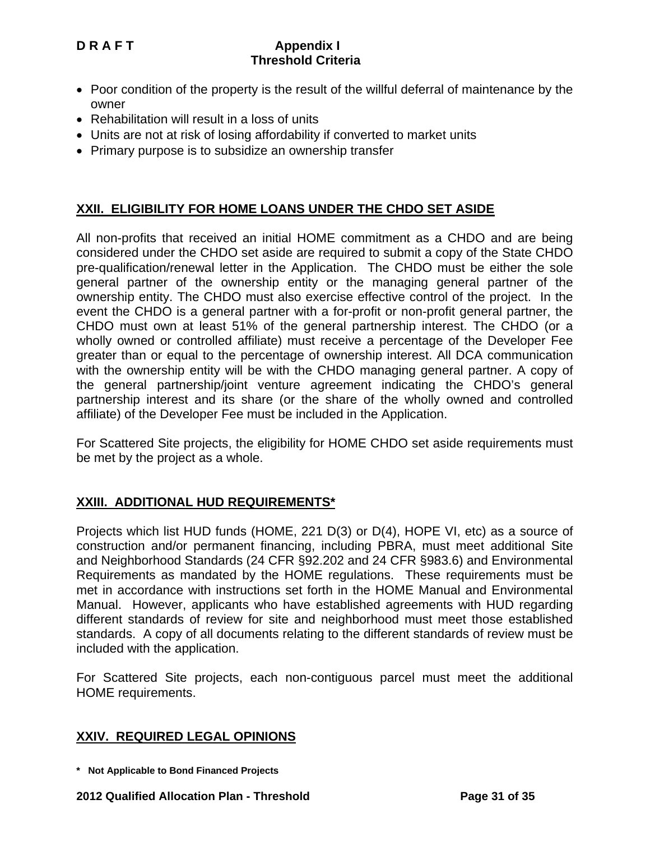- Poor condition of the property is the result of the willful deferral of maintenance by the owner
- Rehabilitation will result in a loss of units
- Units are not at risk of losing affordability if converted to market units
- Primary purpose is to subsidize an ownership transfer

## **XXII. ELIGIBILITY FOR HOME LOANS UNDER THE CHDO SET ASIDE**

All non-profits that received an initial HOME commitment as a CHDO and are being considered under the CHDO set aside are required to submit a copy of the State CHDO pre-qualification/renewal letter in the Application. The CHDO must be either the sole general partner of the ownership entity or the managing general partner of the ownership entity. The CHDO must also exercise effective control of the project. In the event the CHDO is a general partner with a for-profit or non-profit general partner, the CHDO must own at least 51% of the general partnership interest. The CHDO (or a wholly owned or controlled affiliate) must receive a percentage of the Developer Fee greater than or equal to the percentage of ownership interest. All DCA communication with the ownership entity will be with the CHDO managing general partner. A copy of the general partnership/joint venture agreement indicating the CHDO's general partnership interest and its share (or the share of the wholly owned and controlled affiliate) of the Developer Fee must be included in the Application.

For Scattered Site projects, the eligibility for HOME CHDO set aside requirements must be met by the project as a whole.

## **XXIII. ADDITIONAL HUD REQUIREMENTS\***

Projects which list HUD funds (HOME, 221 D(3) or D(4), HOPE VI, etc) as a source of construction and/or permanent financing, including PBRA, must meet additional Site and Neighborhood Standards (24 CFR §92.202 and 24 CFR §983.6) and Environmental Requirements as mandated by the HOME regulations. These requirements must be met in accordance with instructions set forth in the HOME Manual and Environmental Manual. However, applicants who have established agreements with HUD regarding different standards of review for site and neighborhood must meet those established standards. A copy of all documents relating to the different standards of review must be included with the application.

For Scattered Site projects, each non-contiguous parcel must meet the additional HOME requirements.

## **XXIV. REQUIRED LEGAL OPINIONS**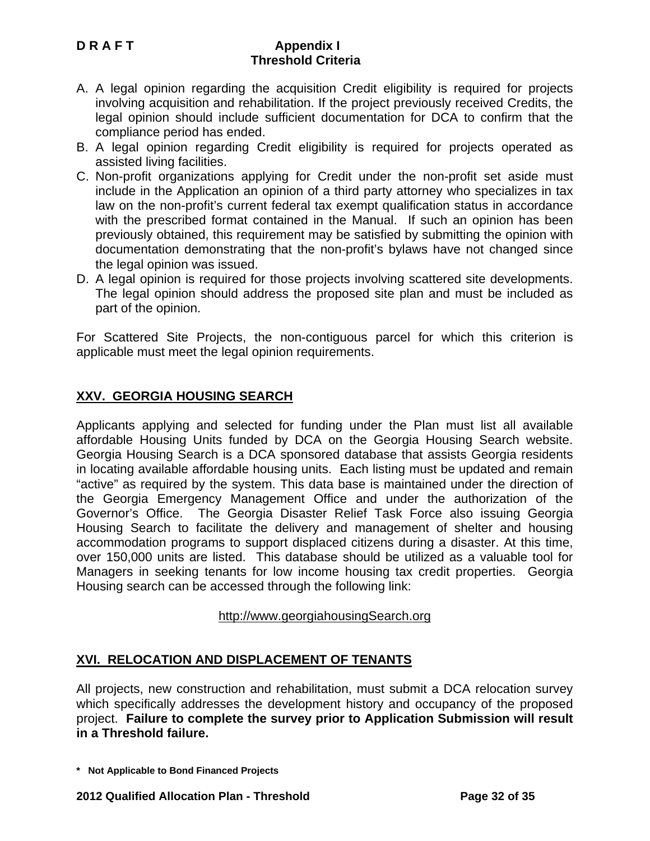- A. A legal opinion regarding the acquisition Credit eligibility is required for projects involving acquisition and rehabilitation. If the project previously received Credits, the legal opinion should include sufficient documentation for DCA to confirm that the compliance period has ended.
- B. A legal opinion regarding Credit eligibility is required for projects operated as assisted living facilities.
- C. Non-profit organizations applying for Credit under the non-profit set aside must include in the Application an opinion of a third party attorney who specializes in tax law on the non-profit's current federal tax exempt qualification status in accordance with the prescribed format contained in the Manual. If such an opinion has been previously obtained, this requirement may be satisfied by submitting the opinion with documentation demonstrating that the non-profit's bylaws have not changed since the legal opinion was issued.
- D. A legal opinion is required for those projects involving scattered site developments. The legal opinion should address the proposed site plan and must be included as part of the opinion.

For Scattered Site Projects, the non-contiguous parcel for which this criterion is applicable must meet the legal opinion requirements.

# **XXV. GEORGIA HOUSING SEARCH**

Applicants applying and selected for funding under the Plan must list all available affordable Housing Units funded by DCA on the Georgia Housing Search website. Georgia Housing Search is a DCA sponsored database that assists Georgia residents in locating available affordable housing units. Each listing must be updated and remain "active" as required by the system. This data base is maintained under the direction of the Georgia Emergency Management Office and under the authorization of the Governor's Office. The Georgia Disaster Relief Task Force also issuing Georgia Housing Search to facilitate the delivery and management of shelter and housing accommodation programs to support displaced citizens during a disaster. At this time, over 150,000 units are listed. This database should be utilized as a valuable tool for Managers in seeking tenants for low income housing tax credit properties. Georgia Housing search can be accessed through the following link:

## http://www.georgiahousingSearch.org

## **XVI. RELOCATION AND DISPLACEMENT OF TENANTS**

All projects, new construction and rehabilitation, must submit a DCA relocation survey which specifically addresses the development history and occupancy of the proposed project. **Failure to complete the survey prior to Application Submission will result in a Threshold failure.** 

**<sup>\*</sup> Not Applicable to Bond Financed Projects**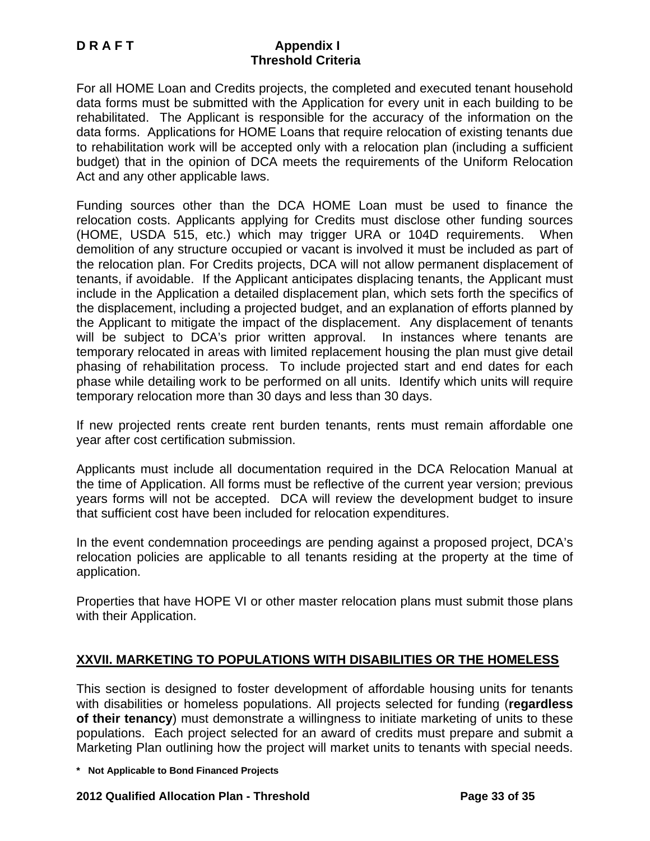For all HOME Loan and Credits projects, the completed and executed tenant household data forms must be submitted with the Application for every unit in each building to be rehabilitated. The Applicant is responsible for the accuracy of the information on the data forms. Applications for HOME Loans that require relocation of existing tenants due to rehabilitation work will be accepted only with a relocation plan (including a sufficient budget) that in the opinion of DCA meets the requirements of the Uniform Relocation Act and any other applicable laws.

Funding sources other than the DCA HOME Loan must be used to finance the relocation costs. Applicants applying for Credits must disclose other funding sources (HOME, USDA 515, etc.) which may trigger URA or 104D requirements. When demolition of any structure occupied or vacant is involved it must be included as part of the relocation plan. For Credits projects, DCA will not allow permanent displacement of tenants, if avoidable. If the Applicant anticipates displacing tenants, the Applicant must include in the Application a detailed displacement plan, which sets forth the specifics of the displacement, including a projected budget, and an explanation of efforts planned by the Applicant to mitigate the impact of the displacement. Any displacement of tenants will be subject to DCA's prior written approval. In instances where tenants are temporary relocated in areas with limited replacement housing the plan must give detail phasing of rehabilitation process. To include projected start and end dates for each phase while detailing work to be performed on all units. Identify which units will require temporary relocation more than 30 days and less than 30 days.

If new projected rents create rent burden tenants, rents must remain affordable one year after cost certification submission.

Applicants must include all documentation required in the DCA Relocation Manual at the time of Application. All forms must be reflective of the current year version; previous years forms will not be accepted. DCA will review the development budget to insure that sufficient cost have been included for relocation expenditures.

In the event condemnation proceedings are pending against a proposed project, DCA's relocation policies are applicable to all tenants residing at the property at the time of application.

Properties that have HOPE VI or other master relocation plans must submit those plans with their Application.

# **XXVII. MARKETING TO POPULATIONS WITH DISABILITIES OR THE HOMELESS**

This section is designed to foster development of affordable housing units for tenants with disabilities or homeless populations. All projects selected for funding (**regardless of their tenancy**) must demonstrate a willingness to initiate marketing of units to these populations. Each project selected for an award of credits must prepare and submit a Marketing Plan outlining how the project will market units to tenants with special needs.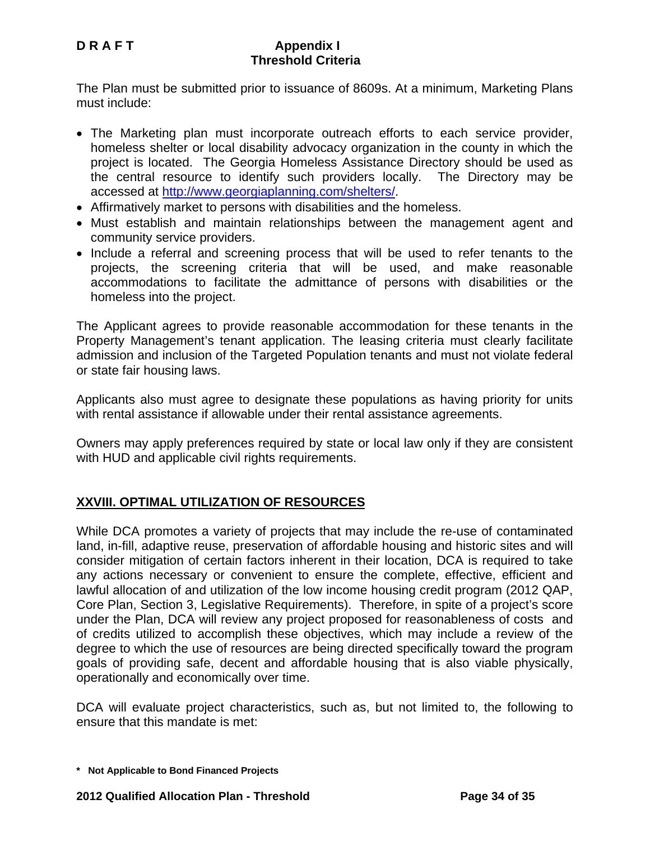The Plan must be submitted prior to issuance of 8609s. At a minimum, Marketing Plans must include:

- The Marketing plan must incorporate outreach efforts to each service provider, homeless shelter or local disability advocacy organization in the county in which the project is located. The Georgia Homeless Assistance Directory should be used as the central resource to identify such providers locally. The Directory may be accessed at http://www.georgiaplanning.com/shelters/.
- Affirmatively market to persons with disabilities and the homeless.
- Must establish and maintain relationships between the management agent and community service providers.
- Include a referral and screening process that will be used to refer tenants to the projects, the screening criteria that will be used, and make reasonable accommodations to facilitate the admittance of persons with disabilities or the homeless into the project.

The Applicant agrees to provide reasonable accommodation for these tenants in the Property Management's tenant application. The leasing criteria must clearly facilitate admission and inclusion of the Targeted Population tenants and must not violate federal or state fair housing laws.

Applicants also must agree to designate these populations as having priority for units with rental assistance if allowable under their rental assistance agreements.

Owners may apply preferences required by state or local law only if they are consistent with HUD and applicable civil rights requirements.

# **XXVIII. OPTIMAL UTILIZATION OF RESOURCES**

While DCA promotes a variety of projects that may include the re-use of contaminated land, in-fill, adaptive reuse, preservation of affordable housing and historic sites and will consider mitigation of certain factors inherent in their location, DCA is required to take any actions necessary or convenient to ensure the complete, effective, efficient and lawful allocation of and utilization of the low income housing credit program (2012 QAP, Core Plan, Section 3, Legislative Requirements). Therefore, in spite of a project's score under the Plan, DCA will review any project proposed for reasonableness of costs and of credits utilized to accomplish these objectives, which may include a review of the degree to which the use of resources are being directed specifically toward the program goals of providing safe, decent and affordable housing that is also viable physically, operationally and economically over time.

DCA will evaluate project characteristics, such as, but not limited to, the following to ensure that this mandate is met:

**<sup>\*</sup> Not Applicable to Bond Financed Projects**